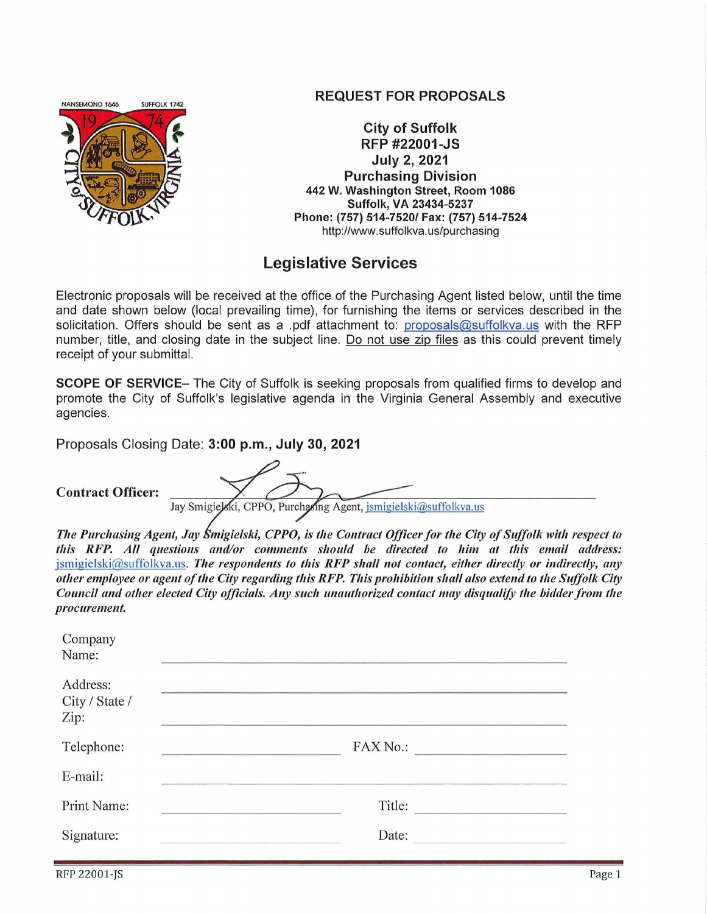

## **REQUEST FOR PROPOSALS**

**City of Suffolk RFP #22001-JS July 2, 2021 Purchasing Division** 442 W. Washington Street, Room 1086 Suffolk, VA 23434-5237 Phone: (757) 514-7520/ Fax: (757) 514-7524 http://www.suffolkva.us/purchasing

## **Legislative Services**

Electronic proposals will be received at the office of the Purchasing Agent listed below, until the time and date shown below (local prevailing time), for furnishing the items or services described in the solicitation. Offers should be sent as a .pdf attachment to: proposals@suffolkva.us with the RFP number, title, and closing date in the subject line. Do not use zip files as this could prevent timely receipt of your submittal.

**SCOPE OF SERVICE**— The City of Suffolk is seeking proposals from qualified firms to develop and promote the City of Suffolk's legislative agenda in the Virginia General Assembly and executive agencies.

Proposals Closing Date: 3:00 p.m., July 30, 2021

**Contract Officer:** 

Jay Smigielski, CPPO, Purchasing Agent, jsmigielski@suffolkva.us

The Purchasing Agent, Jay Smigielski, CPPO, is the Contract Officer for the City of Suffolk with respect to this RFP. All questions and/or comments should be directed to him at this email address:  $\frac{1}{2}$  ismigielski@suffolkva.us. The respondents to this RFP shall not contact, either directly or indirectly, any

other employee or agent of the City regarding this RFP. This prohibition shall also extend to the Suffolk City

Council and other elected City officials. Any such unauthorized contact may disqualify the bidder from the procurement. Company Name: Address: City / State /  $Zip:$ FAX No.: Telephone: E-mail: Title: Print Name: Signature: Date: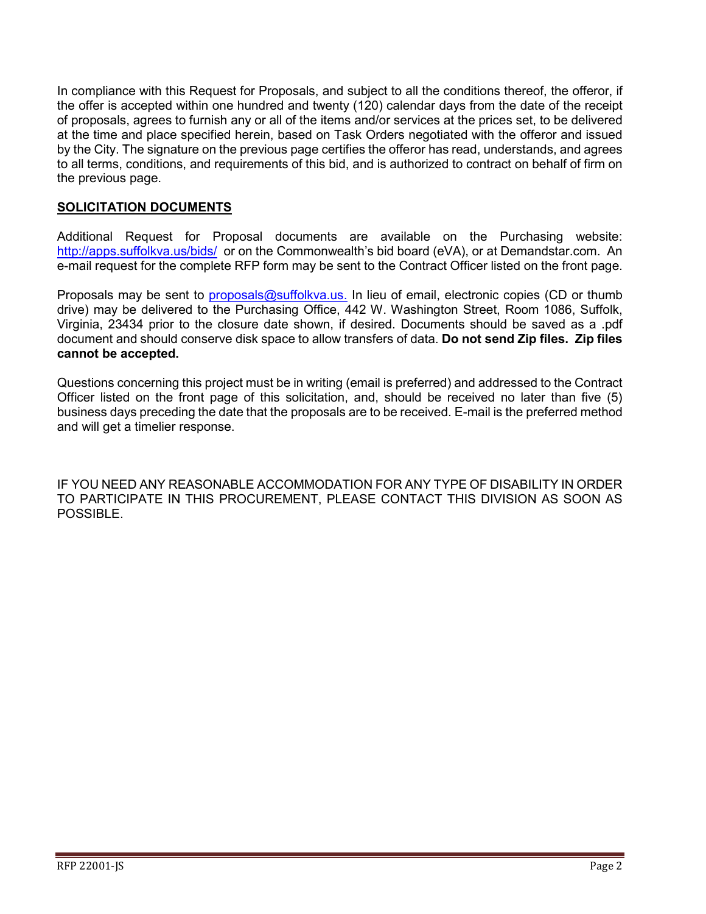In compliance with this Request for Proposals, and subject to all the conditions thereof, the offeror, if the offer is accepted within one hundred and twenty (120) calendar days from the date of the receipt of proposals, agrees to furnish any or all of the items and/or services at the prices set, to be delivered at the time and place specified herein, based on Task Orders negotiated with the offeror and issued by the City. The signature on the previous page certifies the offeror has read, understands, and agrees to all terms, conditions, and requirements of this bid, and is authorized to contract on behalf of firm on the previous page.

#### **SOLICITATION DOCUMENTS**

Additional Request for Proposal documents are available on the Purchasing website: <http://apps.suffolkva.us/bids/> or on the Commonwealth's bid board (eVA), or at Demandstar.com. An e-mail request for the complete RFP form may be sent to the Contract Officer listed on the front page.

Proposals may be sent to [proposals@suffolkva.us.](mailto:proposals@suffolkva.us) In lieu of email, electronic copies (CD or thumb drive) may be delivered to the Purchasing Office, 442 W. Washington Street, Room 1086, Suffolk, Virginia, 23434 prior to the closure date shown, if desired. Documents should be saved as a .pdf document and should conserve disk space to allow transfers of data. **Do not send Zip files. Zip files cannot be accepted.**

Questions concerning this project must be in writing (email is preferred) and addressed to the Contract Officer listed on the front page of this solicitation, and, should be received no later than five (5) business days preceding the date that the proposals are to be received. E-mail is the preferred method and will get a timelier response.

IF YOU NEED ANY REASONABLE ACCOMMODATION FOR ANY TYPE OF DISABILITY IN ORDER TO PARTICIPATE IN THIS PROCUREMENT, PLEASE CONTACT THIS DIVISION AS SOON AS POSSIBLE.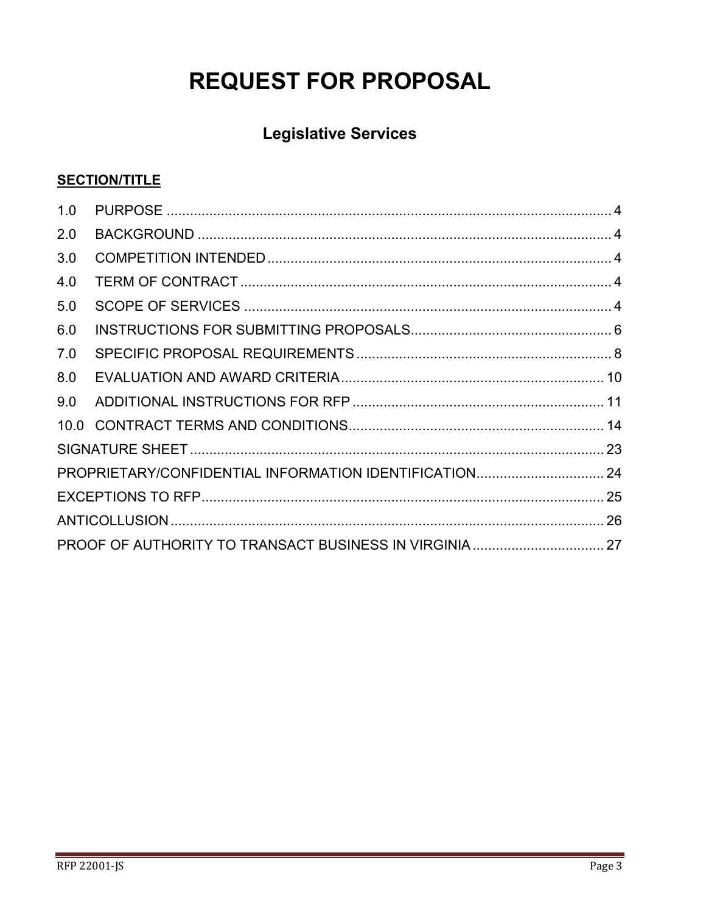# **REQUEST FOR PROPOSAL**

## **Legislative Services**

## **SECTION/TITLE**

| 1.0 |  |  |  |
|-----|--|--|--|
| 2.0 |  |  |  |
| 3.0 |  |  |  |
| 4.0 |  |  |  |
| 5.0 |  |  |  |
| 6.0 |  |  |  |
| 7.0 |  |  |  |
| 8.0 |  |  |  |
| 9.0 |  |  |  |
|     |  |  |  |
|     |  |  |  |
|     |  |  |  |
|     |  |  |  |
|     |  |  |  |
|     |  |  |  |
|     |  |  |  |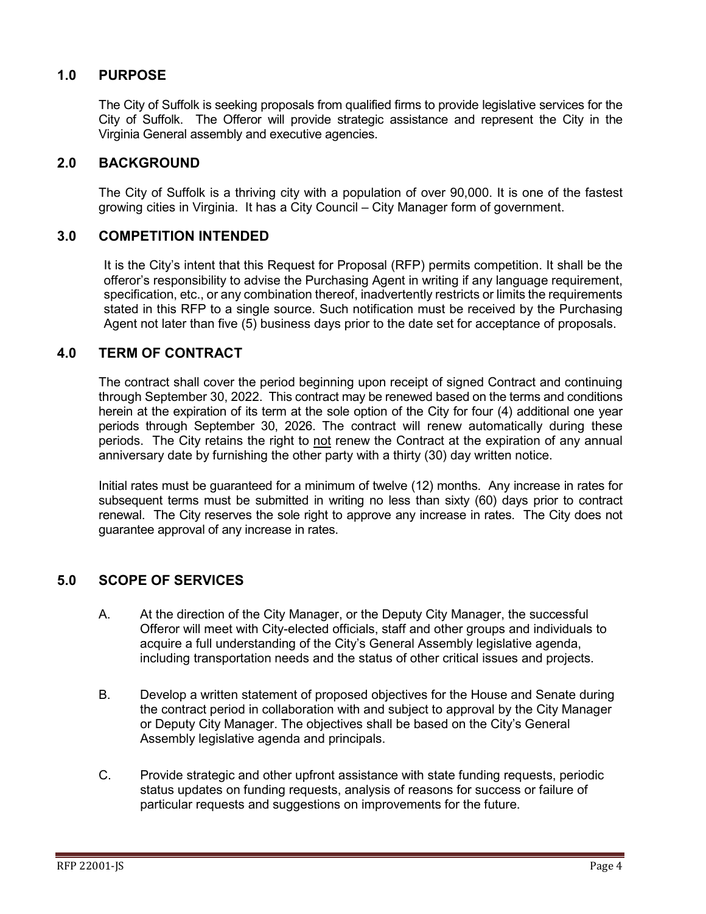## <span id="page-3-0"></span>**1.0 PURPOSE**

The City of Suffolk is seeking proposals from qualified firms to provide legislative services for the City of Suffolk. The Offeror will provide strategic assistance and represent the City in the Virginia General assembly and executive agencies.

#### <span id="page-3-1"></span>**2.0 BACKGROUND**

The City of Suffolk is a thriving city with a population of over 90,000. It is one of the fastest growing cities in Virginia. It has a City Council – City Manager form of government.

#### <span id="page-3-2"></span>**3.0 COMPETITION INTENDED**

It is the City's intent that this Request for Proposal (RFP) permits competition. It shall be the offeror's responsibility to advise the Purchasing Agent in writing if any language requirement, specification, etc., or any combination thereof, inadvertently restricts or limits the requirements stated in this RFP to a single source. Such notification must be received by the Purchasing Agent not later than five (5) business days prior to the date set for acceptance of proposals.

#### <span id="page-3-3"></span>**4.0 TERM OF CONTRACT**

The contract shall cover the period beginning upon receipt of signed Contract and continuing through September 30, 2022. This contract may be renewed based on the terms and conditions herein at the expiration of its term at the sole option of the City for four (4) additional one year periods through September 30, 2026. The contract will renew automatically during these periods. The City retains the right to not renew the Contract at the expiration of any annual anniversary date by furnishing the other party with a thirty (30) day written notice.

Initial rates must be guaranteed for a minimum of twelve (12) months. Any increase in rates for subsequent terms must be submitted in writing no less than sixty (60) days prior to contract renewal. The City reserves the sole right to approve any increase in rates. The City does not guarantee approval of any increase in rates.

## <span id="page-3-4"></span>**5.0 SCOPE OF SERVICES**

- A. At the direction of the City Manager, or the Deputy City Manager, the successful Offeror will meet with City-elected officials, staff and other groups and individuals to acquire a full understanding of the City's General Assembly legislative agenda, including transportation needs and the status of other critical issues and projects.
- B. Develop a written statement of proposed objectives for the House and Senate during the contract period in collaboration with and subject to approval by the City Manager or Deputy City Manager. The objectives shall be based on the City's General Assembly legislative agenda and principals.
- C. Provide strategic and other upfront assistance with state funding requests, periodic status updates on funding requests, analysis of reasons for success or failure of particular requests and suggestions on improvements for the future.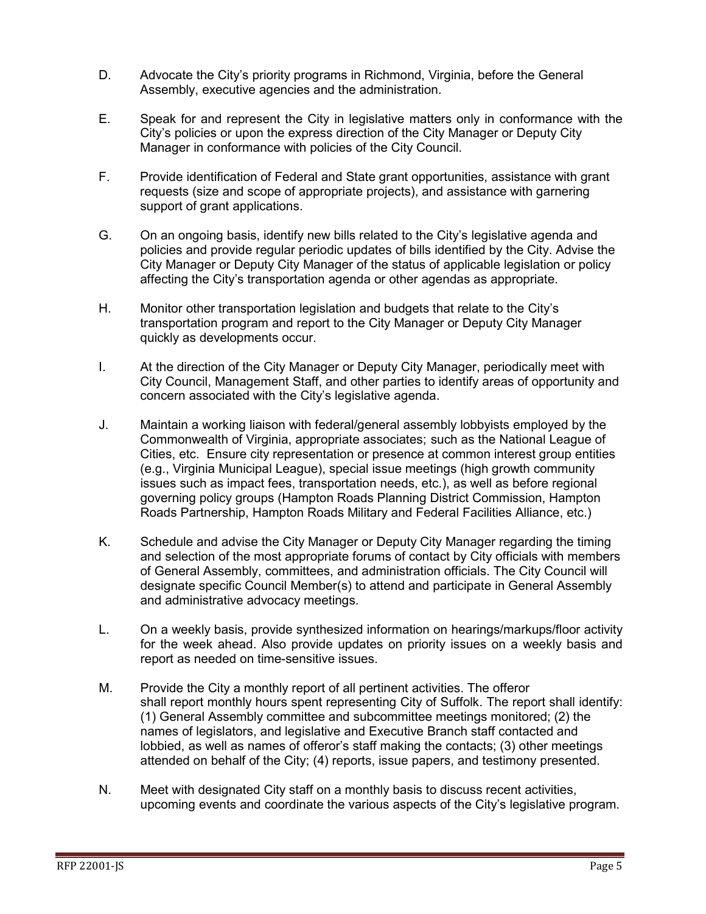- D. Advocate the City's priority programs in Richmond, Virginia, before the General Assembly, executive agencies and the administration.
- E. Speak for and represent the City in legislative matters only in conformance with the City's policies or upon the express direction of the City Manager or Deputy City Manager in conformance with policies of the City Council.
- F. Provide identification of Federal and State grant opportunities, assistance with grant requests (size and scope of appropriate projects), and assistance with garnering support of grant applications.
- G. On an ongoing basis, identify new bills related to the City's legislative agenda and policies and provide regular periodic updates of bills identified by the City. Advise the City Manager or Deputy City Manager of the status of applicable legislation or policy affecting the City's transportation agenda or other agendas as appropriate.
- H. Monitor other transportation legislation and budgets that relate to the City's transportation program and report to the City Manager or Deputy City Manager quickly as developments occur.
- I. At the direction of the City Manager or Deputy City Manager, periodically meet with City Council, Management Staff, and other parties to identify areas of opportunity and concern associated with the City's legislative agenda.
- J. Maintain a working liaison with federal/general assembly lobbyists employed by the Commonwealth of Virginia, appropriate associates; such as the National League of Cities, etc. Ensure city representation or presence at common interest group entities (e.g., Virginia Municipal League), special issue meetings (high growth community issues such as impact fees, transportation needs, etc.), as well as before regional governing policy groups (Hampton Roads Planning District Commission, Hampton Roads Partnership, Hampton Roads Military and Federal Facilities Alliance, etc.)
- K. Schedule and advise the City Manager or Deputy City Manager regarding the timing and selection of the most appropriate forums of contact by City officials with members of General Assembly, committees, and administration officials. The City Council will designate specific Council Member(s) to attend and participate in General Assembly and administrative advocacy meetings.
- L. On a weekly basis, provide synthesized information on hearings/markups/floor activity for the week ahead. Also provide updates on priority issues on a weekly basis and report as needed on time-sensitive issues.
- M. Provide the City a monthly report of all pertinent activities. The offeror shall report monthly hours spent representing City of Suffolk. The report shall identify: (1) General Assembly committee and subcommittee meetings monitored; (2) the names of legislators, and legislative and Executive Branch staff contacted and lobbied, as well as names of offeror's staff making the contacts; (3) other meetings attended on behalf of the City; (4) reports, issue papers, and testimony presented.
- N. Meet with designated City staff on a monthly basis to discuss recent activities, upcoming events and coordinate the various aspects of the City's legislative program.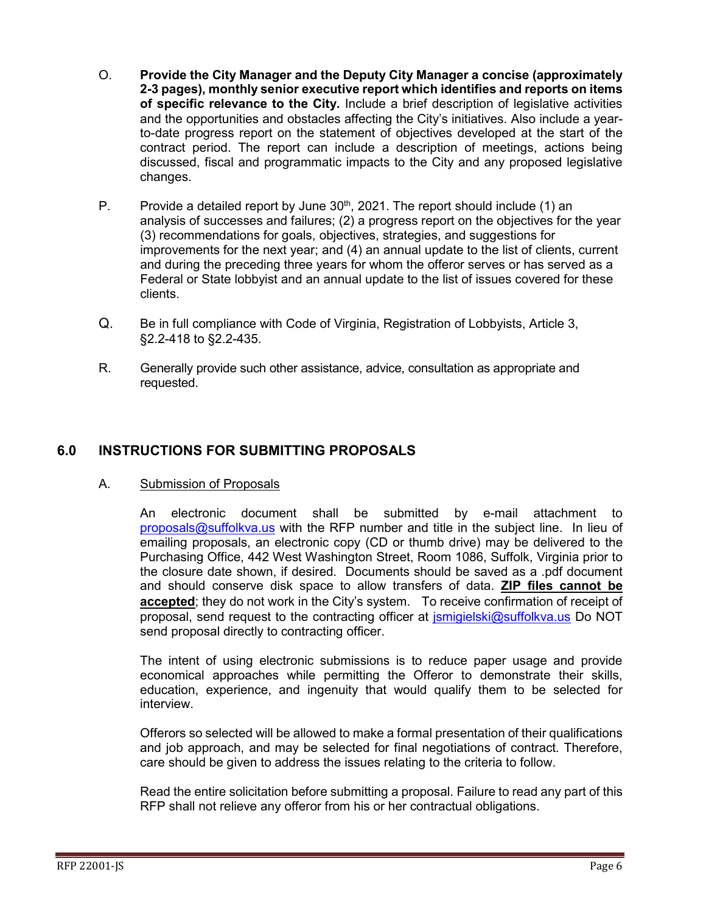- O. **Provide the City Manager and the Deputy City Manager a concise (approximately 2-3 pages), monthly senior executive report which identifies and reports on items of specific relevance to the City.** Include a brief description of legislative activities and the opportunities and obstacles affecting the City's initiatives. Also include a yearto-date progress report on the statement of objectives developed at the start of the contract period. The report can include a description of meetings, actions being discussed, fiscal and programmatic impacts to the City and any proposed legislative changes.
- P. Provide a detailed report by June  $30<sup>th</sup>$ , 2021. The report should include (1) an analysis of successes and failures; (2) a progress report on the objectives for the year (3) recommendations for goals, objectives, strategies, and suggestions for improvements for the next year; and (4) an annual update to the list of clients, current and during the preceding three years for whom the offeror serves or has served as a Federal or State lobbyist and an annual update to the list of issues covered for these clients.
- Q. Be in full compliance with Code of Virginia, Registration of Lobbyists, Article 3, §2.2-418 to §2.2-435.
- R. Generally provide such other assistance, advice, consultation as appropriate and requested.

## <span id="page-5-0"></span>**6.0 INSTRUCTIONS FOR SUBMITTING PROPOSALS**

#### A. Submission of Proposals

An electronic document shall be submitted by e-mail attachment to [proposals@suffolkva.us](mailto:proposals@suffolkva.us) with the RFP number and title in the subject line. In lieu of emailing proposals, an electronic copy (CD or thumb drive) may be delivered to the Purchasing Office, 442 West Washington Street, Room 1086, Suffolk, Virginia prior to the closure date shown, if desired. Documents should be saved as a .pdf document and should conserve disk space to allow transfers of data. **ZIP files cannot be accepted**; they do not work in the City's system. To receive confirmation of receipt of proposal, send request to the contracting officer at [jsmigielski@suffolkva.us](mailto:jsmigielski@suffolkva.us) Do NOT send proposal directly to contracting officer.

The intent of using electronic submissions is to reduce paper usage and provide economical approaches while permitting the Offeror to demonstrate their skills, education, experience, and ingenuity that would qualify them to be selected for interview.

Offerors so selected will be allowed to make a formal presentation of their qualifications and job approach, and may be selected for final negotiations of contract. Therefore, care should be given to address the issues relating to the criteria to follow.

Read the entire solicitation before submitting a proposal. Failure to read any part of this RFP shall not relieve any offeror from his or her contractual obligations.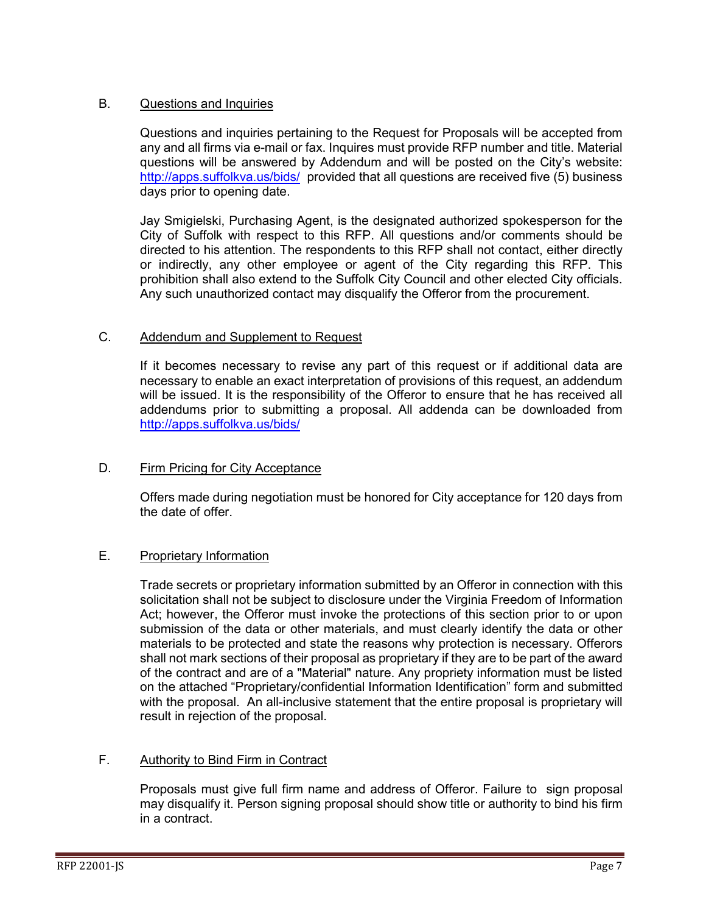#### B. Questions and Inquiries

Questions and inquiries pertaining to the Request for Proposals will be accepted from any and all firms via e-mail or fax. Inquires must provide RFP number and title. Material questions will be answered by Addendum and will be posted on the City's website: <http://apps.suffolkva.us/bids/> provided that all questions are received five (5) business days prior to opening date.

Jay Smigielski, Purchasing Agent, is the designated authorized spokesperson for the City of Suffolk with respect to this RFP. All questions and/or comments should be directed to his attention. The respondents to this RFP shall not contact, either directly or indirectly, any other employee or agent of the City regarding this RFP. This prohibition shall also extend to the Suffolk City Council and other elected City officials. Any such unauthorized contact may disqualify the Offeror from the procurement.

#### C. Addendum and Supplement to Request

If it becomes necessary to revise any part of this request or if additional data are necessary to enable an exact interpretation of provisions of this request, an addendum will be issued. It is the responsibility of the Offeror to ensure that he has received all addendums prior to submitting a proposal. All addenda can be downloaded from <http://apps.suffolkva.us/bids/>

#### D. Firm Pricing for City Acceptance

Offers made during negotiation must be honored for City acceptance for 120 days from the date of offer.

## E. Proprietary Information

Trade secrets or proprietary information submitted by an Offeror in connection with this solicitation shall not be subject to disclosure under the Virginia Freedom of Information Act; however, the Offeror must invoke the protections of this section prior to or upon submission of the data or other materials, and must clearly identify the data or other materials to be protected and state the reasons why protection is necessary. Offerors shall not mark sections of their proposal as proprietary if they are to be part of the award of the contract and are of a "Material" nature. Any propriety information must be listed on the attached "Proprietary/confidential Information Identification" form and submitted with the proposal. An all-inclusive statement that the entire proposal is proprietary will result in rejection of the proposal.

## F. Authority to Bind Firm in Contract

Proposals must give full firm name and address of Offeror. Failure to sign proposal may disqualify it. Person signing proposal should show title or authority to bind his firm in a contract.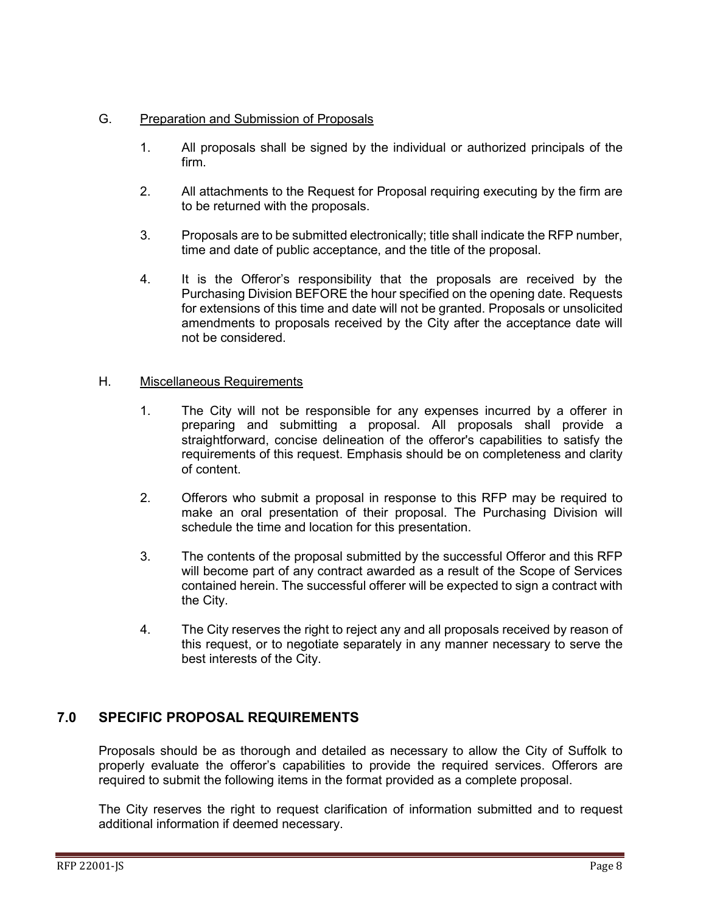#### G. Preparation and Submission of Proposals

- 1. All proposals shall be signed by the individual or authorized principals of the firm.
- 2. All attachments to the Request for Proposal requiring executing by the firm are to be returned with the proposals.
- 3. Proposals are to be submitted electronically; title shall indicate the RFP number, time and date of public acceptance, and the title of the proposal.
- 4. It is the Offeror's responsibility that the proposals are received by the Purchasing Division BEFORE the hour specified on the opening date. Requests for extensions of this time and date will not be granted. Proposals or unsolicited amendments to proposals received by the City after the acceptance date will not be considered.

#### H. Miscellaneous Requirements

- 1. The City will not be responsible for any expenses incurred by a offerer in preparing and submitting a proposal. All proposals shall provide a straightforward, concise delineation of the offeror's capabilities to satisfy the requirements of this request. Emphasis should be on completeness and clarity of content.
- 2. Offerors who submit a proposal in response to this RFP may be required to make an oral presentation of their proposal. The Purchasing Division will schedule the time and location for this presentation.
- 3. The contents of the proposal submitted by the successful Offeror and this RFP will become part of any contract awarded as a result of the Scope of Services contained herein. The successful offerer will be expected to sign a contract with the City.
- 4. The City reserves the right to reject any and all proposals received by reason of this request, or to negotiate separately in any manner necessary to serve the best interests of the City.

## <span id="page-7-0"></span>**7.0 SPECIFIC PROPOSAL REQUIREMENTS**

Proposals should be as thorough and detailed as necessary to allow the City of Suffolk to properly evaluate the offeror's capabilities to provide the required services. Offerors are required to submit the following items in the format provided as a complete proposal.

The City reserves the right to request clarification of information submitted and to request additional information if deemed necessary.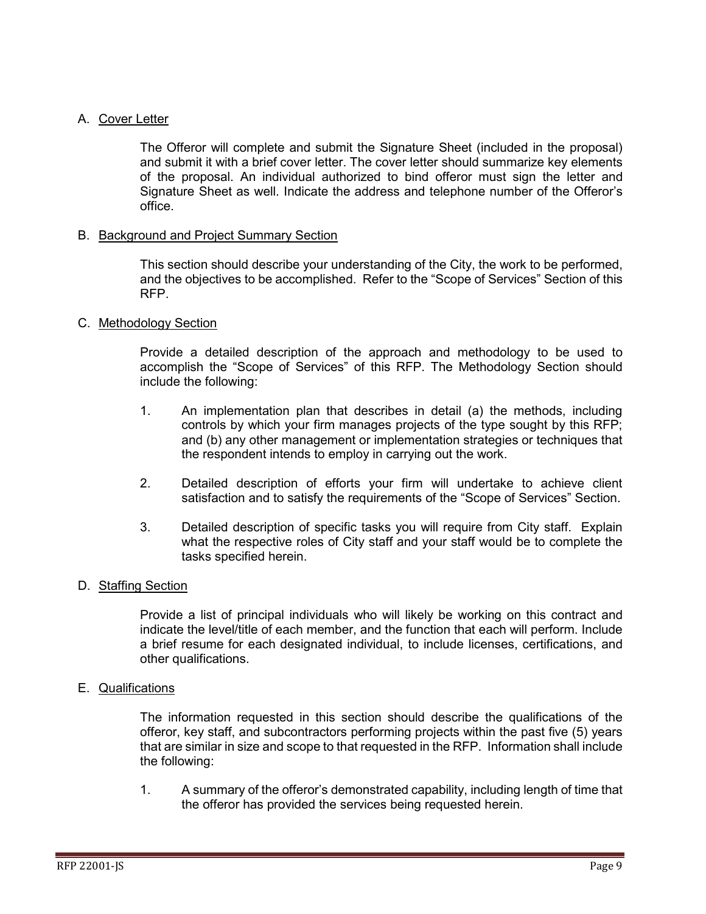#### A. Cover Letter

The Offeror will complete and submit the Signature Sheet (included in the proposal) and submit it with a brief cover letter. The cover letter should summarize key elements of the proposal. An individual authorized to bind offeror must sign the letter and Signature Sheet as well. Indicate the address and telephone number of the Offeror's office.

#### B. Background and Project Summary Section

This section should describe your understanding of the City, the work to be performed, and the objectives to be accomplished. Refer to the "Scope of Services" Section of this RFP.

#### C. Methodology Section

Provide a detailed description of the approach and methodology to be used to accomplish the "Scope of Services" of this RFP. The Methodology Section should include the following:

- 1. An implementation plan that describes in detail (a) the methods, including controls by which your firm manages projects of the type sought by this RFP; and (b) any other management or implementation strategies or techniques that the respondent intends to employ in carrying out the work.
- 2. Detailed description of efforts your firm will undertake to achieve client satisfaction and to satisfy the requirements of the "Scope of Services" Section.
- 3. Detailed description of specific tasks you will require from City staff. Explain what the respective roles of City staff and your staff would be to complete the tasks specified herein.

#### D. Staffing Section

Provide a list of principal individuals who will likely be working on this contract and indicate the level/title of each member, and the function that each will perform. Include a brief resume for each designated individual, to include licenses, certifications, and other qualifications.

#### E. Qualifications

The information requested in this section should describe the qualifications of the offeror, key staff, and subcontractors performing projects within the past five (5) years that are similar in size and scope to that requested in the RFP. Information shall include the following:

1. A summary of the offeror's demonstrated capability, including length of time that the offeror has provided the services being requested herein.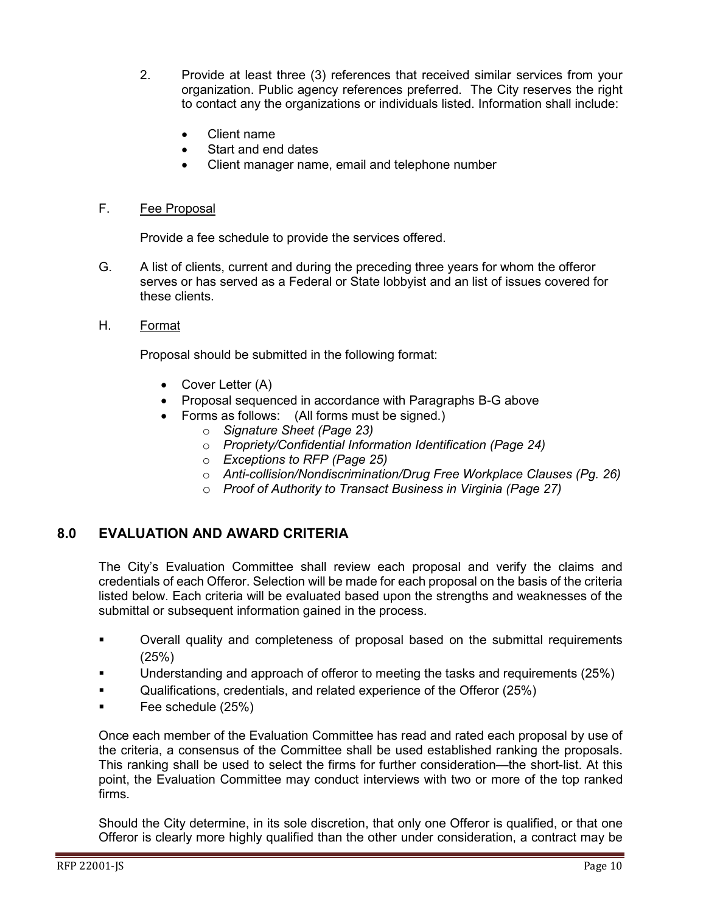- 2. Provide at least three (3) references that received similar services from your organization. Public agency references preferred. The City reserves the right to contact any the organizations or individuals listed. Information shall include:
	- Client name
	- Start and end dates
	- Client manager name, email and telephone number

#### F. Fee Proposal

Provide a fee schedule to provide the services offered.

- G. A list of clients, current and during the preceding three years for whom the offeror serves or has served as a Federal or State lobbyist and an list of issues covered for these clients.
- H. Format

Proposal should be submitted in the following format:

- Cover Letter (A)
- Proposal sequenced in accordance with Paragraphs B-G above
- Forms as follows: (All forms must be signed.)
	- o *Signature Sheet (Page 23)*
	- o *Propriety/Confidential Information Identification (Page 24)*
	- o *Exceptions to RFP (Page 25)*
	- o *Anti-collision/Nondiscrimination/Drug Free Workplace Clauses (Pg. 26)*
	- o *Proof of Authority to Transact Business in Virginia (Page 27)*

## <span id="page-9-0"></span>**8.0 EVALUATION AND AWARD CRITERIA**

The City's Evaluation Committee shall review each proposal and verify the claims and credentials of each Offeror. Selection will be made for each proposal on the basis of the criteria listed below. Each criteria will be evaluated based upon the strengths and weaknesses of the submittal or subsequent information gained in the process.

- Overall quality and completeness of proposal based on the submittal requirements (25%)
- Understanding and approach of offeror to meeting the tasks and requirements (25%)
- Qualifications, credentials, and related experience of the Offeror (25%)
- Fee schedule (25%)

Once each member of the Evaluation Committee has read and rated each proposal by use of the criteria, a consensus of the Committee shall be used established ranking the proposals. This ranking shall be used to select the firms for further consideration—the short-list. At this point, the Evaluation Committee may conduct interviews with two or more of the top ranked firms.

Should the City determine, in its sole discretion, that only one Offeror is qualified, or that one Offeror is clearly more highly qualified than the other under consideration, a contract may be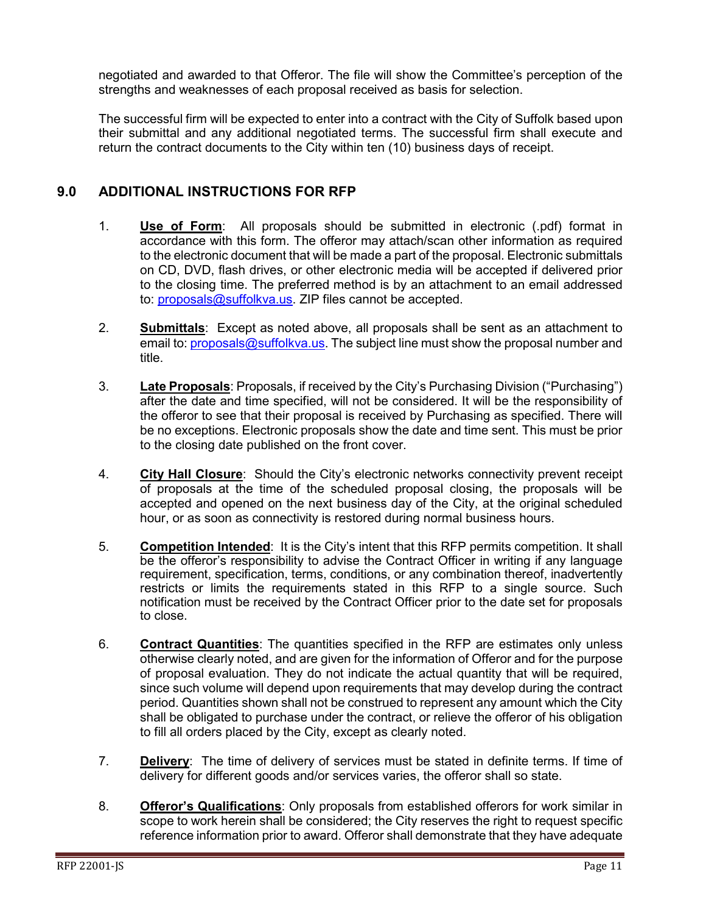negotiated and awarded to that Offeror. The file will show the Committee's perception of the strengths and weaknesses of each proposal received as basis for selection.

The successful firm will be expected to enter into a contract with the City of Suffolk based upon their submittal and any additional negotiated terms. The successful firm shall execute and return the contract documents to the City within ten (10) business days of receipt.

## <span id="page-10-0"></span>**9.0 ADDITIONAL INSTRUCTIONS FOR RFP**

- 1. **Use of Form**: All proposals should be submitted in electronic (.pdf) format in accordance with this form. The offeror may attach/scan other information as required to the electronic document that will be made a part of the proposal. Electronic submittals on CD, DVD, flash drives, or other electronic media will be accepted if delivered prior to the closing time. The preferred method is by an attachment to an email addressed to: [proposals@suffolkva.us.](mailto:proposals@suffolkva.us) ZIP files cannot be accepted.
- 2. **Submittals**: Except as noted above, all proposals shall be sent as an attachment to email to: [proposals@suffolkva.us.](mailto:proposals@suffolkva.us) The subject line must show the proposal number and title.
- 3. **Late Proposals**: Proposals, if received by the City's Purchasing Division ("Purchasing") after the date and time specified, will not be considered. It will be the responsibility of the offeror to see that their proposal is received by Purchasing as specified. There will be no exceptions. Electronic proposals show the date and time sent. This must be prior to the closing date published on the front cover.
- 4. **City Hall Closure**: Should the City's electronic networks connectivity prevent receipt of proposals at the time of the scheduled proposal closing, the proposals will be accepted and opened on the next business day of the City, at the original scheduled hour, or as soon as connectivity is restored during normal business hours.
- 5. **Competition Intended**: It is the City's intent that this RFP permits competition. It shall be the offeror's responsibility to advise the Contract Officer in writing if any language requirement, specification, terms, conditions, or any combination thereof, inadvertently restricts or limits the requirements stated in this RFP to a single source. Such notification must be received by the Contract Officer prior to the date set for proposals to close.
- 6. **Contract Quantities**: The quantities specified in the RFP are estimates only unless otherwise clearly noted, and are given for the information of Offeror and for the purpose of proposal evaluation. They do not indicate the actual quantity that will be required, since such volume will depend upon requirements that may develop during the contract period. Quantities shown shall not be construed to represent any amount which the City shall be obligated to purchase under the contract, or relieve the offeror of his obligation to fill all orders placed by the City, except as clearly noted.
- 7. **Delivery**: The time of delivery of services must be stated in definite terms. If time of delivery for different goods and/or services varies, the offeror shall so state.
- 8. **Offeror's Qualifications**: Only proposals from established offerors for work similar in scope to work herein shall be considered; the City reserves the right to request specific reference information prior to award. Offeror shall demonstrate that they have adequate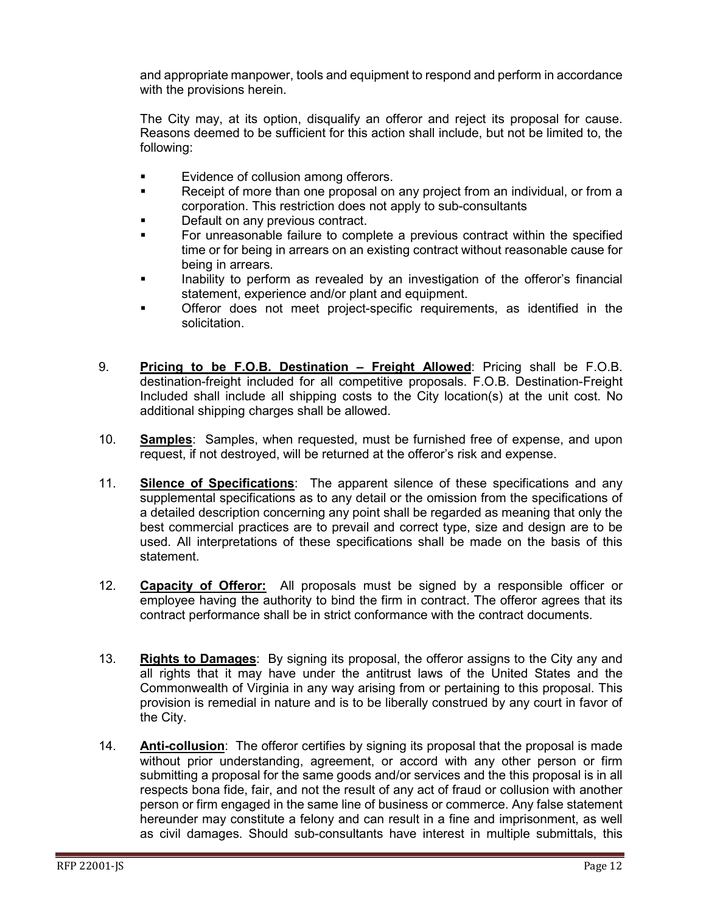and appropriate manpower, tools and equipment to respond and perform in accordance with the provisions herein.

The City may, at its option, disqualify an offeror and reject its proposal for cause. Reasons deemed to be sufficient for this action shall include, but not be limited to, the following:

- **Evidence of collusion among offerors.**
- **Receipt of more than one proposal on any project from an individual, or from a** corporation. This restriction does not apply to sub-consultants
- Default on any previous contract.
- For unreasonable failure to complete a previous contract within the specified time or for being in arrears on an existing contract without reasonable cause for being in arrears.
- Inability to perform as revealed by an investigation of the offeror's financial statement, experience and/or plant and equipment.
- Offeror does not meet project-specific requirements, as identified in the solicitation.
- 9. **Pricing to be F.O.B. Destination – Freight Allowed**: Pricing shall be F.O.B. destination-freight included for all competitive proposals. F.O.B. Destination-Freight Included shall include all shipping costs to the City location(s) at the unit cost. No additional shipping charges shall be allowed.
- 10. **Samples**: Samples, when requested, must be furnished free of expense, and upon request, if not destroyed, will be returned at the offeror's risk and expense.
- 11. **Silence of Specifications**: The apparent silence of these specifications and any supplemental specifications as to any detail or the omission from the specifications of a detailed description concerning any point shall be regarded as meaning that only the best commercial practices are to prevail and correct type, size and design are to be used. All interpretations of these specifications shall be made on the basis of this statement.
- 12. **Capacity of Offeror:** All proposals must be signed by a responsible officer or employee having the authority to bind the firm in contract. The offeror agrees that its contract performance shall be in strict conformance with the contract documents.
- 13. **Rights to Damages**: By signing its proposal, the offeror assigns to the City any and all rights that it may have under the antitrust laws of the United States and the Commonwealth of Virginia in any way arising from or pertaining to this proposal. This provision is remedial in nature and is to be liberally construed by any court in favor of the City.
- 14. **Anti-collusion**: The offeror certifies by signing its proposal that the proposal is made without prior understanding, agreement, or accord with any other person or firm submitting a proposal for the same goods and/or services and the this proposal is in all respects bona fide, fair, and not the result of any act of fraud or collusion with another person or firm engaged in the same line of business or commerce. Any false statement hereunder may constitute a felony and can result in a fine and imprisonment, as well as civil damages. Should sub-consultants have interest in multiple submittals, this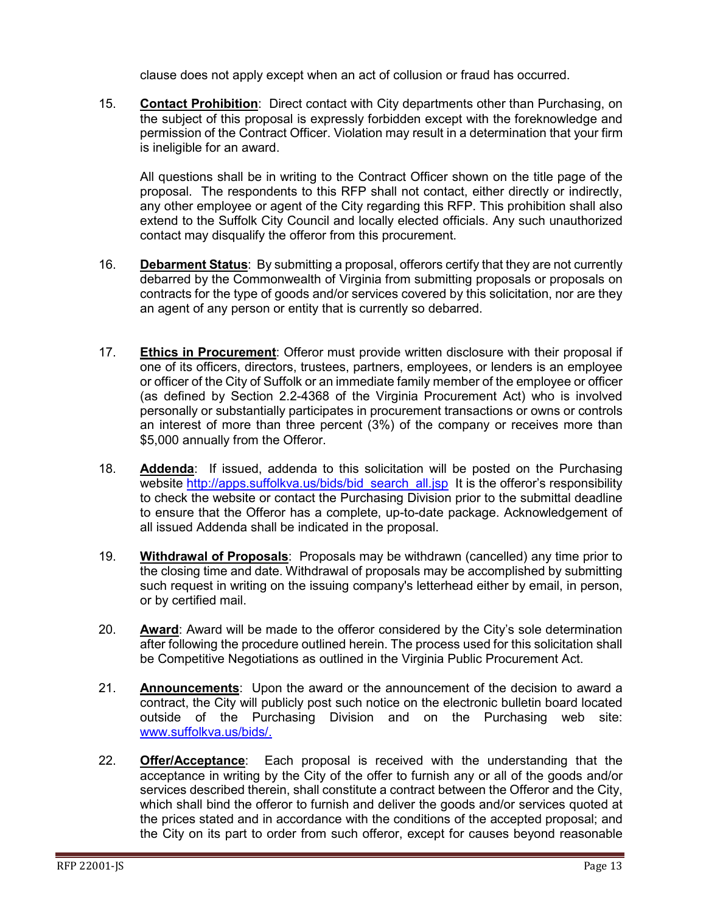clause does not apply except when an act of collusion or fraud has occurred.

15. **Contact Prohibition**: Direct contact with City departments other than Purchasing, on the subject of this proposal is expressly forbidden except with the foreknowledge and permission of the Contract Officer. Violation may result in a determination that your firm is ineligible for an award.

All questions shall be in writing to the Contract Officer shown on the title page of the proposal. The respondents to this RFP shall not contact, either directly or indirectly, any other employee or agent of the City regarding this RFP. This prohibition shall also extend to the Suffolk City Council and locally elected officials. Any such unauthorized contact may disqualify the offeror from this procurement.

- 16. **Debarment Status**: By submitting a proposal, offerors certify that they are not currently debarred by the Commonwealth of Virginia from submitting proposals or proposals on contracts for the type of goods and/or services covered by this solicitation, nor are they an agent of any person or entity that is currently so debarred.
- 17. **Ethics in Procurement**: Offeror must provide written disclosure with their proposal if one of its officers, directors, trustees, partners, employees, or lenders is an employee or officer of the City of Suffolk or an immediate family member of the employee or officer (as defined by Section 2.2-4368 of the Virginia Procurement Act) who is involved personally or substantially participates in procurement transactions or owns or controls an interest of more than three percent (3%) of the company or receives more than \$5,000 annually from the Offeror.
- 18. **Addenda**: If issued, addenda to this solicitation will be posted on the Purchasing website [http://apps.suffolkva.us/bids/bid\\_search\\_all.jsp](http://apps.suffolkva.us/bids/bid_search_all.jsp) It is the offeror's responsibility to check the website or contact the Purchasing Division prior to the submittal deadline to ensure that the Offeror has a complete, up-to-date package. Acknowledgement of all issued Addenda shall be indicated in the proposal.
- 19. **Withdrawal of Proposals**: Proposals may be withdrawn (cancelled) any time prior to the closing time and date. Withdrawal of proposals may be accomplished by submitting such request in writing on the issuing company's letterhead either by email, in person, or by certified mail.
- 20. **Award**: Award will be made to the offeror considered by the City's sole determination after following the procedure outlined herein. The process used for this solicitation shall be Competitive Negotiations as outlined in the Virginia Public Procurement Act.
- 21. **Announcements**: Upon the award or the announcement of the decision to award a contract, the City will publicly post such notice on the electronic bulletin board located outside of the Purchasing Division and on the Purchasing web site: [www.suffolkva.us/bids/.](http://www.suffolkva.us/bids/)
- 22. **Offer/Acceptance**: Each proposal is received with the understanding that the acceptance in writing by the City of the offer to furnish any or all of the goods and/or services described therein, shall constitute a contract between the Offeror and the City, which shall bind the offeror to furnish and deliver the goods and/or services quoted at the prices stated and in accordance with the conditions of the accepted proposal; and the City on its part to order from such offeror, except for causes beyond reasonable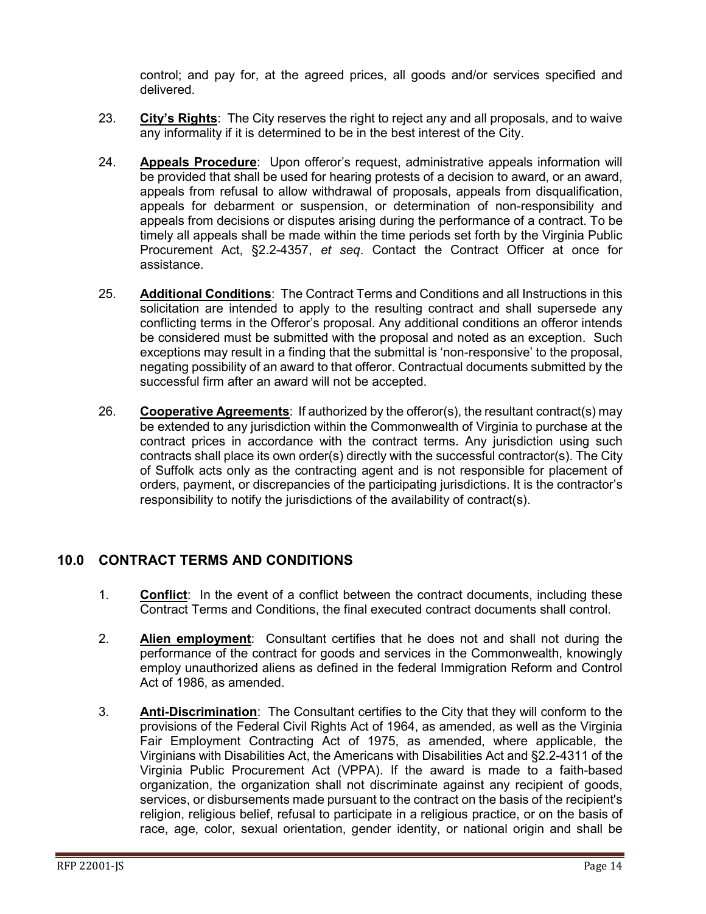control; and pay for, at the agreed prices, all goods and/or services specified and delivered.

- 23. **City's Rights**: The City reserves the right to reject any and all proposals, and to waive any informality if it is determined to be in the best interest of the City.
- 24. **Appeals Procedure**: Upon offeror's request, administrative appeals information will be provided that shall be used for hearing protests of a decision to award, or an award, appeals from refusal to allow withdrawal of proposals, appeals from disqualification, appeals for debarment or suspension, or determination of non-responsibility and appeals from decisions or disputes arising during the performance of a contract. To be timely all appeals shall be made within the time periods set forth by the Virginia Public Procurement Act, §2.2-4357, *et seq*. Contact the Contract Officer at once for assistance.
- 25. **Additional Conditions**: The Contract Terms and Conditions and all Instructions in this solicitation are intended to apply to the resulting contract and shall supersede any conflicting terms in the Offeror's proposal. Any additional conditions an offeror intends be considered must be submitted with the proposal and noted as an exception. Such exceptions may result in a finding that the submittal is 'non-responsive' to the proposal, negating possibility of an award to that offeror. Contractual documents submitted by the successful firm after an award will not be accepted.
- 26. **Cooperative Agreements**: If authorized by the offeror(s), the resultant contract(s) may be extended to any jurisdiction within the Commonwealth of Virginia to purchase at the contract prices in accordance with the contract terms. Any jurisdiction using such contracts shall place its own order(s) directly with the successful contractor(s). The City of Suffolk acts only as the contracting agent and is not responsible for placement of orders, payment, or discrepancies of the participating jurisdictions. It is the contractor's responsibility to notify the jurisdictions of the availability of contract(s).

## <span id="page-13-0"></span>**10.0 CONTRACT TERMS AND CONDITIONS**

- 1. **Conflict**: In the event of a conflict between the contract documents, including these Contract Terms and Conditions, the final executed contract documents shall control.
- 2. **Alien employment**: Consultant certifies that he does not and shall not during the performance of the contract for goods and services in the Commonwealth, knowingly employ unauthorized aliens as defined in the federal Immigration Reform and Control Act of 1986, as amended.
- 3. **Anti-Discrimination**: The Consultant certifies to the City that they will conform to the provisions of the Federal Civil Rights Act of 1964, as amended, as well as the Virginia Fair Employment Contracting Act of 1975, as amended, where applicable, the Virginians with Disabilities Act, the Americans with Disabilities Act and §2.2-4311 of the Virginia Public Procurement Act (VPPA). If the award is made to a faith-based organization, the organization shall not discriminate against any recipient of goods, services, or disbursements made pursuant to the contract on the basis of the recipient's religion, religious belief, refusal to participate in a religious practice, or on the basis of race, age, color, sexual orientation, gender identity, or national origin and shall be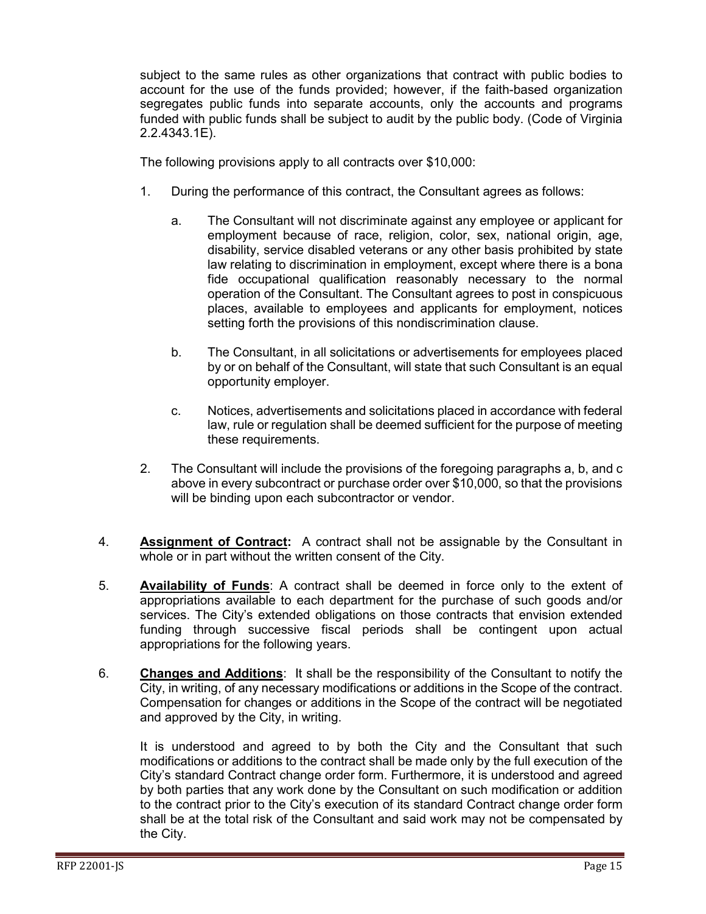subject to the same rules as other organizations that contract with public bodies to account for the use of the funds provided; however, if the faith-based organization segregates public funds into separate accounts, only the accounts and programs funded with public funds shall be subject to audit by the public body. (Code of Virginia 2.2.4343.1E).

The following provisions apply to all contracts over \$10,000:

- 1. During the performance of this contract, the Consultant agrees as follows:
	- a. The Consultant will not discriminate against any employee or applicant for employment because of race, religion, color, sex, national origin, age, disability, service disabled veterans or any other basis prohibited by state law relating to discrimination in employment, except where there is a bona fide occupational qualification reasonably necessary to the normal operation of the Consultant. The Consultant agrees to post in conspicuous places, available to employees and applicants for employment, notices setting forth the provisions of this nondiscrimination clause.
	- b. The Consultant, in all solicitations or advertisements for employees placed by or on behalf of the Consultant, will state that such Consultant is an equal opportunity employer.
	- c. Notices, advertisements and solicitations placed in accordance with federal law, rule or regulation shall be deemed sufficient for the purpose of meeting these requirements.
- 2. The Consultant will include the provisions of the foregoing paragraphs a, b, and c above in every subcontract or purchase order over \$10,000, so that the provisions will be binding upon each subcontractor or vendor.
- 4. **Assignment of Contract:** A contract shall not be assignable by the Consultant in whole or in part without the written consent of the City.
- 5. **Availability of Funds**: A contract shall be deemed in force only to the extent of appropriations available to each department for the purchase of such goods and/or services. The City's extended obligations on those contracts that envision extended funding through successive fiscal periods shall be contingent upon actual appropriations for the following years.
- 6. **Changes and Additions**: It shall be the responsibility of the Consultant to notify the City, in writing, of any necessary modifications or additions in the Scope of the contract. Compensation for changes or additions in the Scope of the contract will be negotiated and approved by the City, in writing.

It is understood and agreed to by both the City and the Consultant that such modifications or additions to the contract shall be made only by the full execution of the City's standard Contract change order form. Furthermore, it is understood and agreed by both parties that any work done by the Consultant on such modification or addition to the contract prior to the City's execution of its standard Contract change order form shall be at the total risk of the Consultant and said work may not be compensated by the City.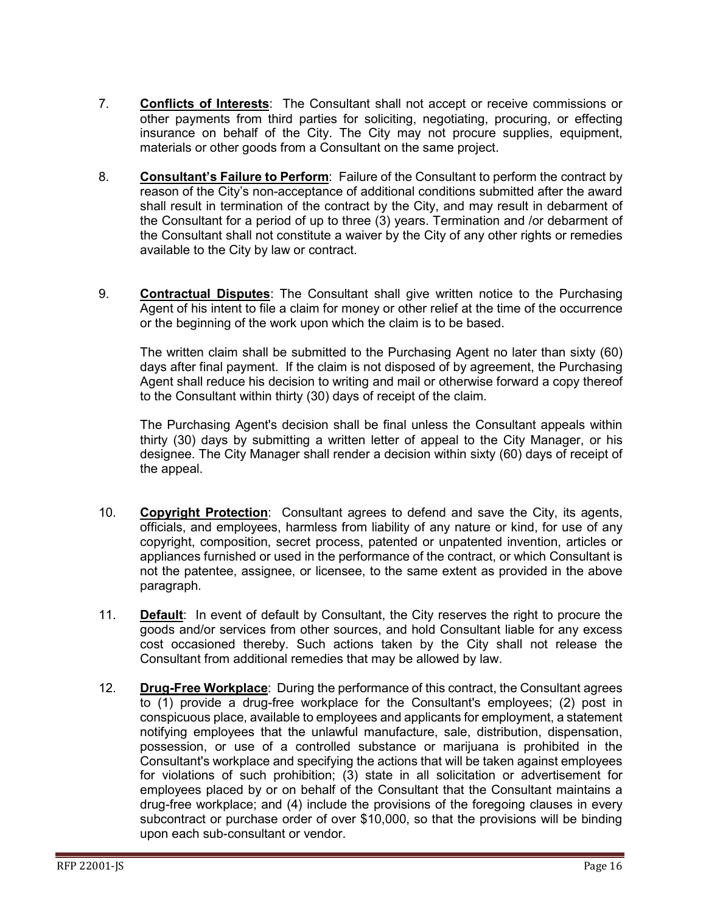- 7. **Conflicts of Interests**: The Consultant shall not accept or receive commissions or other payments from third parties for soliciting, negotiating, procuring, or effecting insurance on behalf of the City. The City may not procure supplies, equipment, materials or other goods from a Consultant on the same project.
- 8. **Consultant's Failure to Perform**: Failure of the Consultant to perform the contract by reason of the City's non-acceptance of additional conditions submitted after the award shall result in termination of the contract by the City, and may result in debarment of the Consultant for a period of up to three (3) years. Termination and /or debarment of the Consultant shall not constitute a waiver by the City of any other rights or remedies available to the City by law or contract.
- 9. **Contractual Disputes**: The Consultant shall give written notice to the Purchasing Agent of his intent to file a claim for money or other relief at the time of the occurrence or the beginning of the work upon which the claim is to be based.

The written claim shall be submitted to the Purchasing Agent no later than sixty (60) days after final payment. If the claim is not disposed of by agreement, the Purchasing Agent shall reduce his decision to writing and mail or otherwise forward a copy thereof to the Consultant within thirty (30) days of receipt of the claim.

The Purchasing Agent's decision shall be final unless the Consultant appeals within thirty (30) days by submitting a written letter of appeal to the City Manager, or his designee. The City Manager shall render a decision within sixty (60) days of receipt of the appeal.

- 10. **Copyright Protection**: Consultant agrees to defend and save the City, its agents, officials, and employees, harmless from liability of any nature or kind, for use of any copyright, composition, secret process, patented or unpatented invention, articles or appliances furnished or used in the performance of the contract, or which Consultant is not the patentee, assignee, or licensee, to the same extent as provided in the above paragraph.
- 11. **Default**: In event of default by Consultant, the City reserves the right to procure the goods and/or services from other sources, and hold Consultant liable for any excess cost occasioned thereby. Such actions taken by the City shall not release the Consultant from additional remedies that may be allowed by law.
- 12. **Drug-Free Workplace**: During the performance of this contract, the Consultant agrees to (1) provide a drug-free workplace for the Consultant's employees; (2) post in conspicuous place, available to employees and applicants for employment, a statement notifying employees that the unlawful manufacture, sale, distribution, dispensation, possession, or use of a controlled substance or marijuana is prohibited in the Consultant's workplace and specifying the actions that will be taken against employees for violations of such prohibition; (3) state in all solicitation or advertisement for employees placed by or on behalf of the Consultant that the Consultant maintains a drug-free workplace; and (4) include the provisions of the foregoing clauses in every subcontract or purchase order of over \$10,000, so that the provisions will be binding upon each sub-consultant or vendor.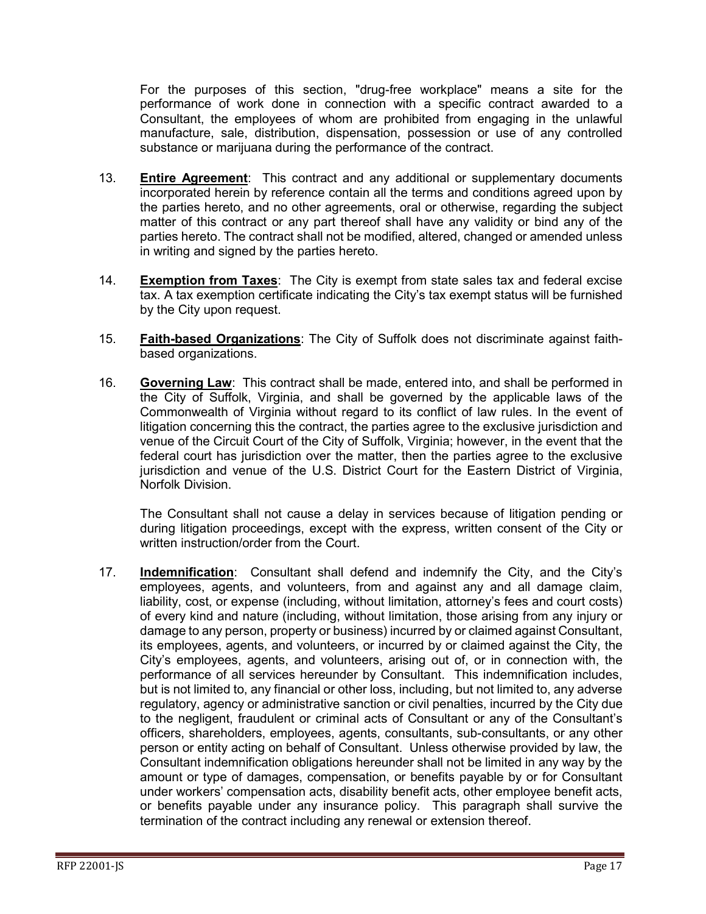For the purposes of this section, "drug-free workplace" means a site for the performance of work done in connection with a specific contract awarded to a Consultant, the employees of whom are prohibited from engaging in the unlawful manufacture, sale, distribution, dispensation, possession or use of any controlled substance or marijuana during the performance of the contract.

- 13. **Entire Agreement**: This contract and any additional or supplementary documents incorporated herein by reference contain all the terms and conditions agreed upon by the parties hereto, and no other agreements, oral or otherwise, regarding the subject matter of this contract or any part thereof shall have any validity or bind any of the parties hereto. The contract shall not be modified, altered, changed or amended unless in writing and signed by the parties hereto.
- 14. **Exemption from Taxes**: The City is exempt from state sales tax and federal excise tax. A tax exemption certificate indicating the City's tax exempt status will be furnished by the City upon request.
- 15. **Faith-based Organizations**: The City of Suffolk does not discriminate against faithbased organizations.
- 16. **Governing Law**: This contract shall be made, entered into, and shall be performed in the City of Suffolk, Virginia, and shall be governed by the applicable laws of the Commonwealth of Virginia without regard to its conflict of law rules. In the event of litigation concerning this the contract, the parties agree to the exclusive jurisdiction and venue of the Circuit Court of the City of Suffolk, Virginia; however, in the event that the federal court has jurisdiction over the matter, then the parties agree to the exclusive jurisdiction and venue of the U.S. District Court for the Eastern District of Virginia, Norfolk Division.

The Consultant shall not cause a delay in services because of litigation pending or during litigation proceedings, except with the express, written consent of the City or written instruction/order from the Court.

17. **Indemnification**: Consultant shall defend and indemnify the City, and the City's employees, agents, and volunteers, from and against any and all damage claim, liability, cost, or expense (including, without limitation, attorney's fees and court costs) of every kind and nature (including, without limitation, those arising from any injury or damage to any person, property or business) incurred by or claimed against Consultant, its employees, agents, and volunteers, or incurred by or claimed against the City, the City's employees, agents, and volunteers, arising out of, or in connection with, the performance of all services hereunder by Consultant. This indemnification includes, but is not limited to, any financial or other loss, including, but not limited to, any adverse regulatory, agency or administrative sanction or civil penalties, incurred by the City due to the negligent, fraudulent or criminal acts of Consultant or any of the Consultant's officers, shareholders, employees, agents, consultants, sub-consultants, or any other person or entity acting on behalf of Consultant. Unless otherwise provided by law, the Consultant indemnification obligations hereunder shall not be limited in any way by the amount or type of damages, compensation, or benefits payable by or for Consultant under workers' compensation acts, disability benefit acts, other employee benefit acts, or benefits payable under any insurance policy. This paragraph shall survive the termination of the contract including any renewal or extension thereof.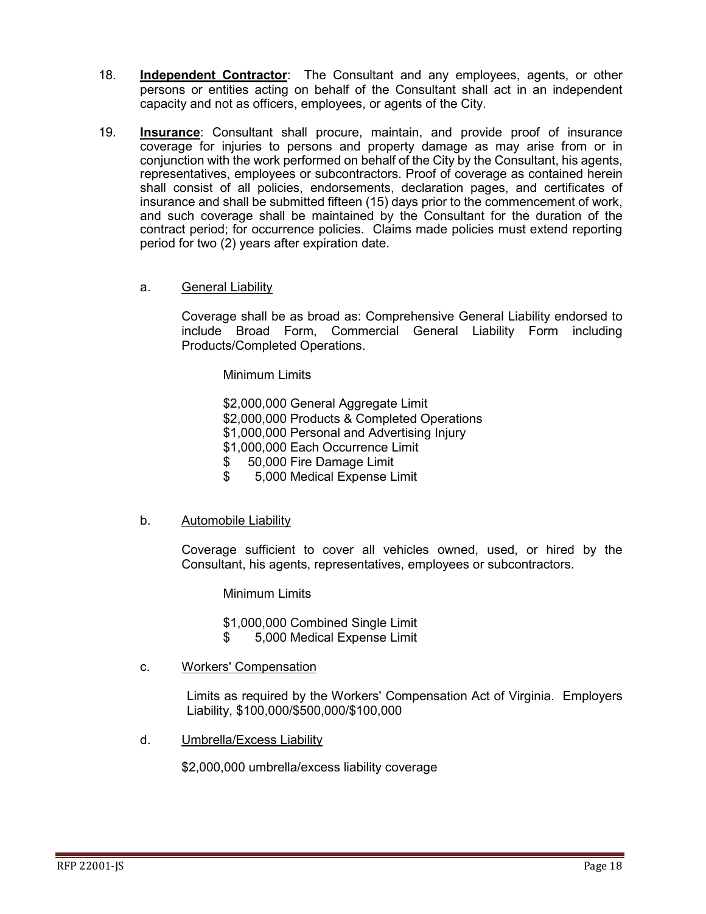- 18. **Independent Contractor**: The Consultant and any employees, agents, or other persons or entities acting on behalf of the Consultant shall act in an independent capacity and not as officers, employees, or agents of the City.
- 19. **Insurance**: Consultant shall procure, maintain, and provide proof of insurance coverage for injuries to persons and property damage as may arise from or in conjunction with the work performed on behalf of the City by the Consultant, his agents, representatives, employees or subcontractors. Proof of coverage as contained herein shall consist of all policies, endorsements, declaration pages, and certificates of insurance and shall be submitted fifteen (15) days prior to the commencement of work, and such coverage shall be maintained by the Consultant for the duration of the contract period; for occurrence policies. Claims made policies must extend reporting period for two (2) years after expiration date.
	- a. General Liability

Coverage shall be as broad as: Comprehensive General Liability endorsed to include Broad Form, Commercial General Liability Form including Products/Completed Operations.

Minimum Limits

- \$2,000,000 General Aggregate Limit
- \$2,000,000 Products & Completed Operations
- \$1,000,000 Personal and Advertising Injury
- \$1,000,000 Each Occurrence Limit
- \$ 50,000 Fire Damage Limit
- \$ 5,000 Medical Expense Limit
- b. Automobile Liability

Coverage sufficient to cover all vehicles owned, used, or hired by the Consultant, his agents, representatives, employees or subcontractors.

Minimum Limits

\$1,000,000 Combined Single Limit

- \$ 5,000 Medical Expense Limit
- c. Workers' Compensation

Limits as required by the Workers' Compensation Act of Virginia. Employers Liability, \$100,000/\$500,000/\$100,000

d. Umbrella/Excess Liability

\$2,000,000 umbrella/excess liability coverage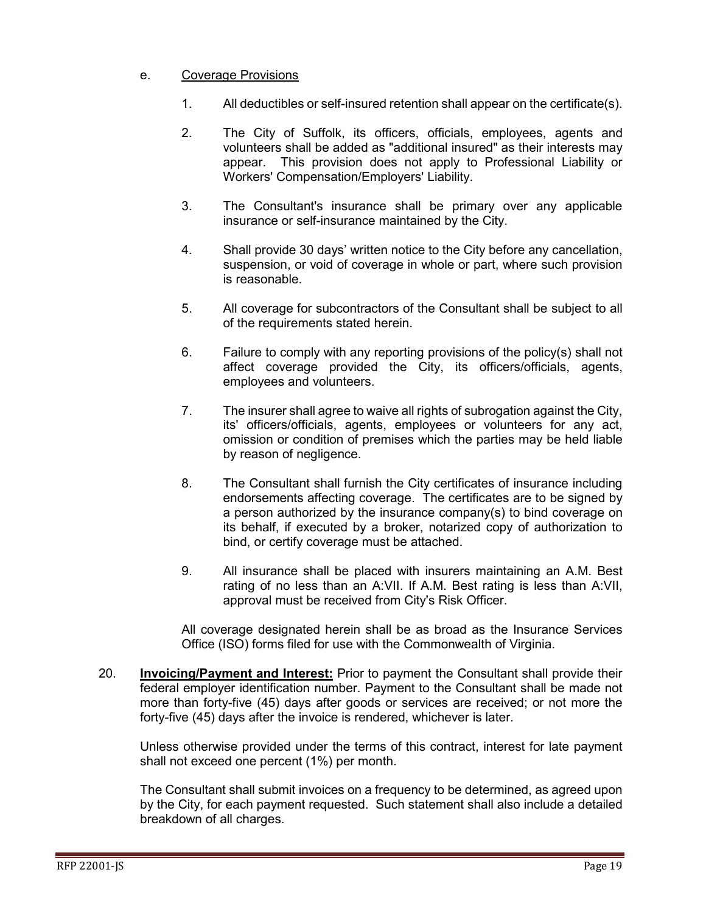#### e. Coverage Provisions

- 1. All deductibles or self-insured retention shall appear on the certificate(s).
- 2. The City of Suffolk, its officers, officials, employees, agents and volunteers shall be added as "additional insured" as their interests may appear. This provision does not apply to Professional Liability or Workers' Compensation/Employers' Liability.
- 3. The Consultant's insurance shall be primary over any applicable insurance or self-insurance maintained by the City.
- 4. Shall provide 30 days' written notice to the City before any cancellation, suspension, or void of coverage in whole or part, where such provision is reasonable.
- 5. All coverage for subcontractors of the Consultant shall be subject to all of the requirements stated herein.
- 6. Failure to comply with any reporting provisions of the policy(s) shall not affect coverage provided the City, its officers/officials, agents, employees and volunteers.
- 7. The insurer shall agree to waive all rights of subrogation against the City, its' officers/officials, agents, employees or volunteers for any act, omission or condition of premises which the parties may be held liable by reason of negligence.
- 8. The Consultant shall furnish the City certificates of insurance including endorsements affecting coverage. The certificates are to be signed by a person authorized by the insurance company(s) to bind coverage on its behalf, if executed by a broker, notarized copy of authorization to bind, or certify coverage must be attached.
- 9. All insurance shall be placed with insurers maintaining an A.M. Best rating of no less than an A:VII. If A.M. Best rating is less than A:VII, approval must be received from City's Risk Officer.

All coverage designated herein shall be as broad as the Insurance Services Office (ISO) forms filed for use with the Commonwealth of Virginia.

20. **Invoicing/Payment and Interest:** Prior to payment the Consultant shall provide their federal employer identification number. Payment to the Consultant shall be made not more than forty-five (45) days after goods or services are received; or not more the forty-five (45) days after the invoice is rendered, whichever is later.

Unless otherwise provided under the terms of this contract, interest for late payment shall not exceed one percent (1%) per month.

The Consultant shall submit invoices on a frequency to be determined, as agreed upon by the City, for each payment requested. Such statement shall also include a detailed breakdown of all charges.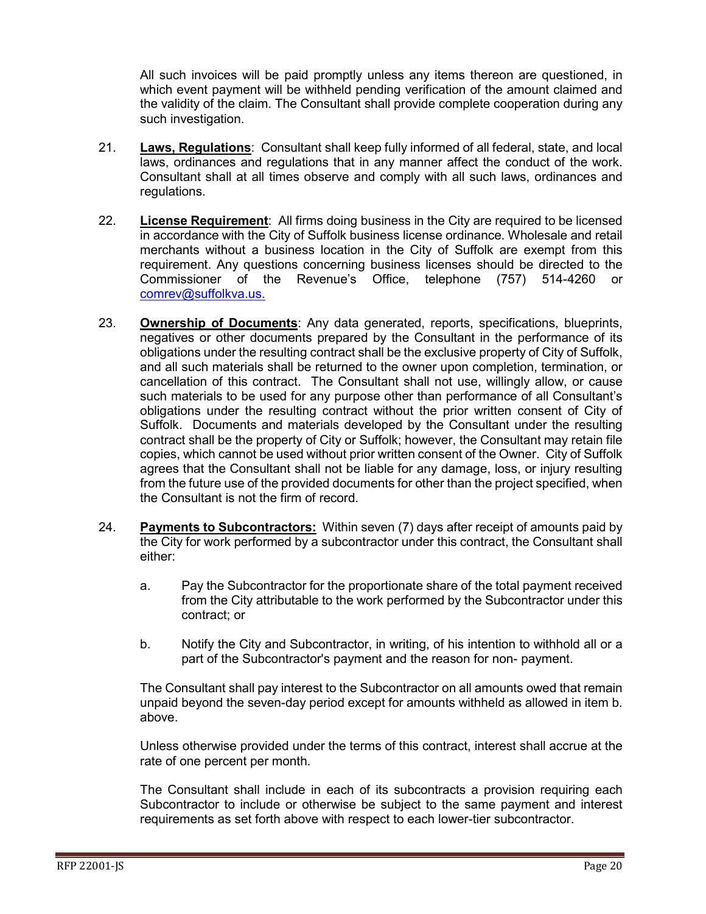All such invoices will be paid promptly unless any items thereon are questioned, in which event payment will be withheld pending verification of the amount claimed and the validity of the claim. The Consultant shall provide complete cooperation during any such investigation.

- 21. **Laws, Regulations**: Consultant shall keep fully informed of all federal, state, and local laws, ordinances and regulations that in any manner affect the conduct of the work. Consultant shall at all times observe and comply with all such laws, ordinances and regulations.
- 22. **License Requirement**: All firms doing business in the City are required to be licensed in accordance with the City of Suffolk business license ordinance. Wholesale and retail merchants without a business location in the City of Suffolk are exempt from this requirement. Any questions concerning business licenses should be directed to the Commissioner of the Revenue's Office, telephone (757) 514-4260 or [comrev@suffolkva.us.](mailto:comrev@suffolkva.us)
- 23. **Ownership of Documents**: Any data generated, reports, specifications, blueprints, negatives or other documents prepared by the Consultant in the performance of its obligations under the resulting contract shall be the exclusive property of City of Suffolk, and all such materials shall be returned to the owner upon completion, termination, or cancellation of this contract. The Consultant shall not use, willingly allow, or cause such materials to be used for any purpose other than performance of all Consultant's obligations under the resulting contract without the prior written consent of City of Suffolk. Documents and materials developed by the Consultant under the resulting contract shall be the property of City or Suffolk; however, the Consultant may retain file copies, which cannot be used without prior written consent of the Owner. City of Suffolk agrees that the Consultant shall not be liable for any damage, loss, or injury resulting from the future use of the provided documents for other than the project specified, when the Consultant is not the firm of record.
- 24. **Payments to Subcontractors:** Within seven (7) days after receipt of amounts paid by the City for work performed by a subcontractor under this contract, the Consultant shall either:
	- a. Pay the Subcontractor for the proportionate share of the total payment received from the City attributable to the work performed by the Subcontractor under this contract; or
	- b. Notify the City and Subcontractor, in writing, of his intention to withhold all or a part of the Subcontractor's payment and the reason for non- payment.

The Consultant shall pay interest to the Subcontractor on all amounts owed that remain unpaid beyond the seven-day period except for amounts withheld as allowed in item b. above.

Unless otherwise provided under the terms of this contract, interest shall accrue at the rate of one percent per month.

The Consultant shall include in each of its subcontracts a provision requiring each Subcontractor to include or otherwise be subject to the same payment and interest requirements as set forth above with respect to each lower-tier subcontractor.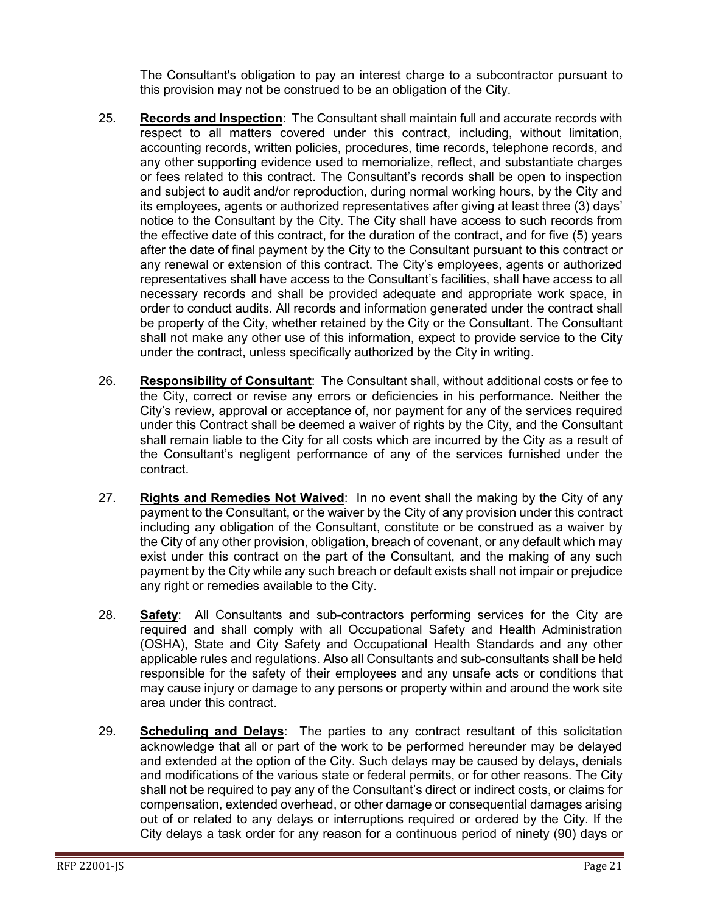The Consultant's obligation to pay an interest charge to a subcontractor pursuant to this provision may not be construed to be an obligation of the City.

- 25. **Records and Inspection**: The Consultant shall maintain full and accurate records with respect to all matters covered under this contract, including, without limitation, accounting records, written policies, procedures, time records, telephone records, and any other supporting evidence used to memorialize, reflect, and substantiate charges or fees related to this contract. The Consultant's records shall be open to inspection and subject to audit and/or reproduction, during normal working hours, by the City and its employees, agents or authorized representatives after giving at least three (3) days' notice to the Consultant by the City. The City shall have access to such records from the effective date of this contract, for the duration of the contract, and for five (5) years after the date of final payment by the City to the Consultant pursuant to this contract or any renewal or extension of this contract. The City's employees, agents or authorized representatives shall have access to the Consultant's facilities, shall have access to all necessary records and shall be provided adequate and appropriate work space, in order to conduct audits. All records and information generated under the contract shall be property of the City, whether retained by the City or the Consultant. The Consultant shall not make any other use of this information, expect to provide service to the City under the contract, unless specifically authorized by the City in writing.
- 26. **Responsibility of Consultant**: The Consultant shall, without additional costs or fee to the City, correct or revise any errors or deficiencies in his performance. Neither the City's review, approval or acceptance of, nor payment for any of the services required under this Contract shall be deemed a waiver of rights by the City, and the Consultant shall remain liable to the City for all costs which are incurred by the City as a result of the Consultant's negligent performance of any of the services furnished under the contract.
- 27. **Rights and Remedies Not Waived**: In no event shall the making by the City of any payment to the Consultant, or the waiver by the City of any provision under this contract including any obligation of the Consultant, constitute or be construed as a waiver by the City of any other provision, obligation, breach of covenant, or any default which may exist under this contract on the part of the Consultant, and the making of any such payment by the City while any such breach or default exists shall not impair or prejudice any right or remedies available to the City.
- 28. **Safety**: All Consultants and sub-contractors performing services for the City are required and shall comply with all Occupational Safety and Health Administration (OSHA), State and City Safety and Occupational Health Standards and any other applicable rules and regulations. Also all Consultants and sub-consultants shall be held responsible for the safety of their employees and any unsafe acts or conditions that may cause injury or damage to any persons or property within and around the work site area under this contract.
- 29. **Scheduling and Delays**: The parties to any contract resultant of this solicitation acknowledge that all or part of the work to be performed hereunder may be delayed and extended at the option of the City. Such delays may be caused by delays, denials and modifications of the various state or federal permits, or for other reasons. The City shall not be required to pay any of the Consultant's direct or indirect costs, or claims for compensation, extended overhead, or other damage or consequential damages arising out of or related to any delays or interruptions required or ordered by the City. If the City delays a task order for any reason for a continuous period of ninety (90) days or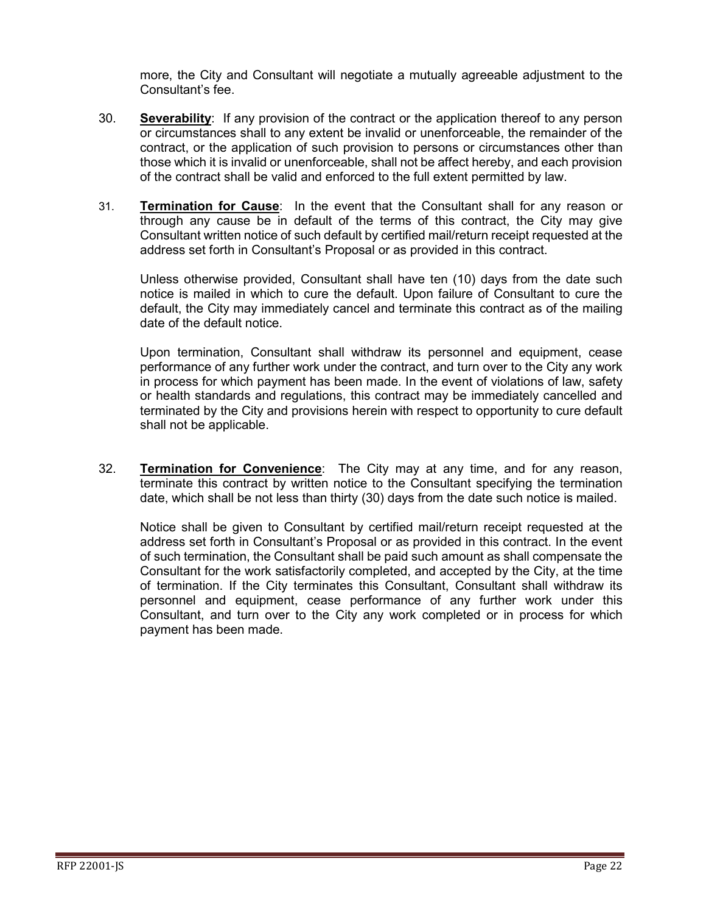more, the City and Consultant will negotiate a mutually agreeable adjustment to the Consultant's fee.

- 30. **Severability**: If any provision of the contract or the application thereof to any person or circumstances shall to any extent be invalid or unenforceable, the remainder of the contract, or the application of such provision to persons or circumstances other than those which it is invalid or unenforceable, shall not be affect hereby, and each provision of the contract shall be valid and enforced to the full extent permitted by law.
- 31. **Termination for Cause**: In the event that the Consultant shall for any reason or through any cause be in default of the terms of this contract, the City may give Consultant written notice of such default by certified mail/return receipt requested at the address set forth in Consultant's Proposal or as provided in this contract.

Unless otherwise provided, Consultant shall have ten (10) days from the date such notice is mailed in which to cure the default. Upon failure of Consultant to cure the default, the City may immediately cancel and terminate this contract as of the mailing date of the default notice.

Upon termination, Consultant shall withdraw its personnel and equipment, cease performance of any further work under the contract, and turn over to the City any work in process for which payment has been made. In the event of violations of law, safety or health standards and regulations, this contract may be immediately cancelled and terminated by the City and provisions herein with respect to opportunity to cure default shall not be applicable.

32. **Termination for Convenience**: The City may at any time, and for any reason, terminate this contract by written notice to the Consultant specifying the termination date, which shall be not less than thirty (30) days from the date such notice is mailed.

Notice shall be given to Consultant by certified mail/return receipt requested at the address set forth in Consultant's Proposal or as provided in this contract. In the event of such termination, the Consultant shall be paid such amount as shall compensate the Consultant for the work satisfactorily completed, and accepted by the City, at the time of termination. If the City terminates this Consultant, Consultant shall withdraw its personnel and equipment, cease performance of any further work under this Consultant, and turn over to the City any work completed or in process for which payment has been made.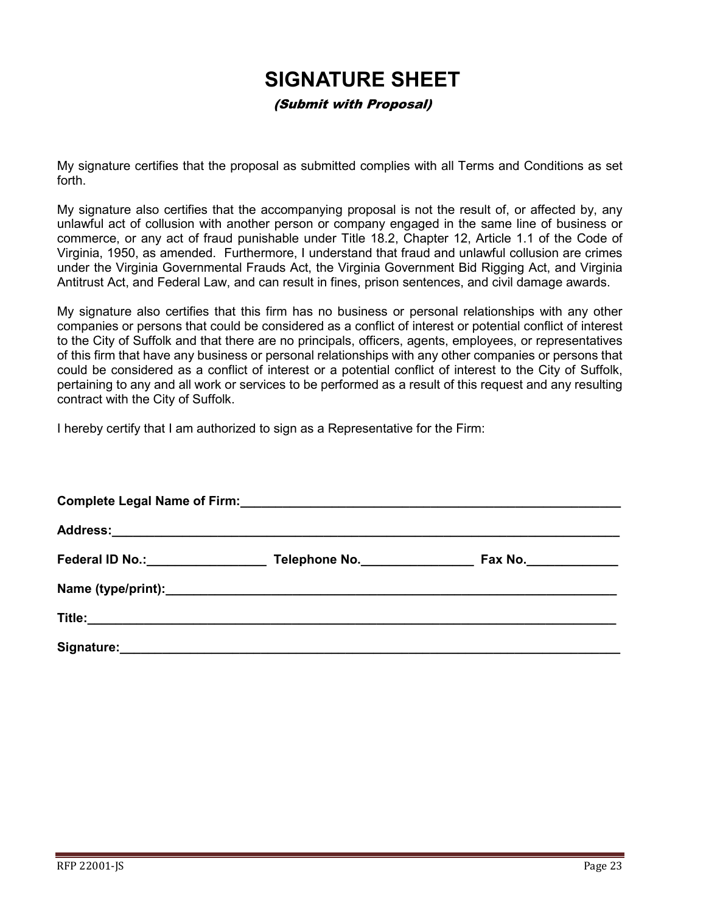## **SIGNATURE SHEET**

(Submit with Proposal)

<span id="page-22-0"></span>My signature certifies that the proposal as submitted complies with all Terms and Conditions as set forth.

My signature also certifies that the accompanying proposal is not the result of, or affected by, any unlawful act of collusion with another person or company engaged in the same line of business or commerce, or any act of fraud punishable under Title 18.2, Chapter 12, Article 1.1 of the Code of Virginia, 1950, as amended. Furthermore, I understand that fraud and unlawful collusion are crimes under the Virginia Governmental Frauds Act, the Virginia Government Bid Rigging Act, and Virginia Antitrust Act, and Federal Law, and can result in fines, prison sentences, and civil damage awards.

My signature also certifies that this firm has no business or personal relationships with any other companies or persons that could be considered as a conflict of interest or potential conflict of interest to the City of Suffolk and that there are no principals, officers, agents, employees, or representatives of this firm that have any business or personal relationships with any other companies or persons that could be considered as a conflict of interest or a potential conflict of interest to the City of Suffolk, pertaining to any and all work or services to be performed as a result of this request and any resulting contract with the City of Suffolk.

I hereby certify that I am authorized to sign as a Representative for the Firm:

| Federal ID No.: Management Control Control Control Control Control Control Control Control Control Control Control Control Control Control Control Control Control Control Control Control Control Control Control Control Con | Telephone No. | Fax No._______________ |  |  |  |  |  |
|--------------------------------------------------------------------------------------------------------------------------------------------------------------------------------------------------------------------------------|---------------|------------------------|--|--|--|--|--|
|                                                                                                                                                                                                                                |               |                        |  |  |  |  |  |
|                                                                                                                                                                                                                                |               |                        |  |  |  |  |  |
|                                                                                                                                                                                                                                |               |                        |  |  |  |  |  |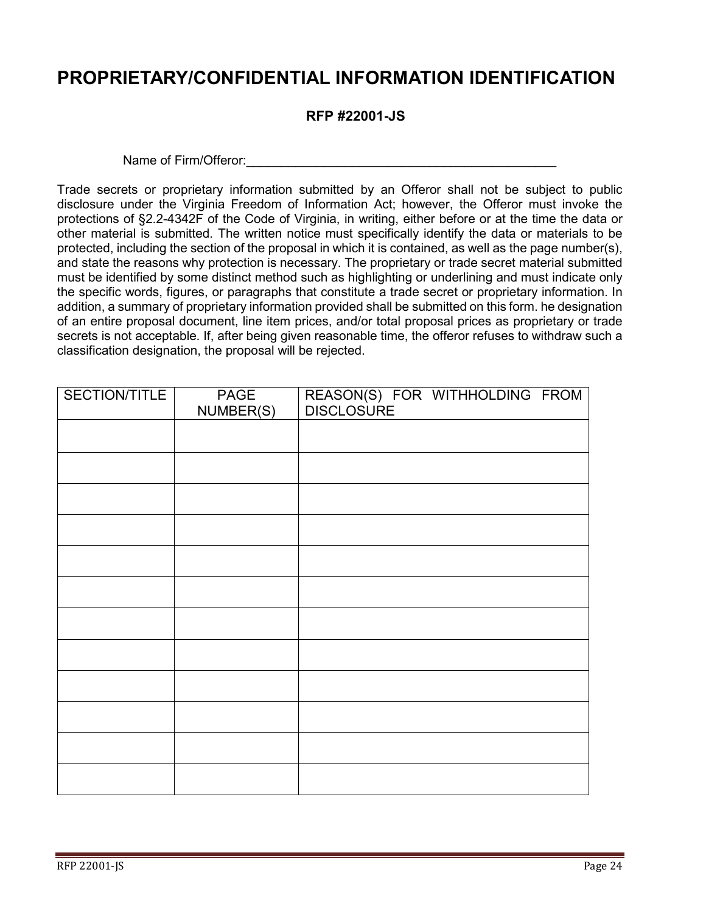## <span id="page-23-0"></span>**PROPRIETARY/CONFIDENTIAL INFORMATION IDENTIFICATION**

#### **RFP #22001-JS**

Name of Firm/Offeror: example and the state of  $\frac{1}{2}$  of  $\frac{1}{2}$  and  $\frac{1}{2}$  and  $\frac{1}{2}$  and  $\frac{1}{2}$  and  $\frac{1}{2}$  and  $\frac{1}{2}$  and  $\frac{1}{2}$  and  $\frac{1}{2}$  and  $\frac{1}{2}$  and  $\frac{1}{2}$  and  $\frac{1}{2}$  and  $\frac{1}{2}$ 

Trade secrets or proprietary information submitted by an Offeror shall not be subject to public disclosure under the Virginia Freedom of Information Act; however, the Offeror must invoke the protections of §2.2-4342F of the Code of Virginia, in writing, either before or at the time the data or other material is submitted. The written notice must specifically identify the data or materials to be protected, including the section of the proposal in which it is contained, as well as the page number(s), and state the reasons why protection is necessary. The proprietary or trade secret material submitted must be identified by some distinct method such as highlighting or underlining and must indicate only the specific words, figures, or paragraphs that constitute a trade secret or proprietary information. In addition, a summary of proprietary information provided shall be submitted on this form. he designation of an entire proposal document, line item prices, and/or total proposal prices as proprietary or trade secrets is not acceptable. If, after being given reasonable time, the offeror refuses to withdraw such a classification designation, the proposal will be rejected.

| SECTION/TITLE | <b>PAGE</b><br>NUMBER(S) | REASON(S) FOR WITHHOLDING FROM<br><b>DISCLOSURE</b> |
|---------------|--------------------------|-----------------------------------------------------|
|               |                          |                                                     |
|               |                          |                                                     |
|               |                          |                                                     |
|               |                          |                                                     |
|               |                          |                                                     |
|               |                          |                                                     |
|               |                          |                                                     |
|               |                          |                                                     |
|               |                          |                                                     |
|               |                          |                                                     |
|               |                          |                                                     |
|               |                          |                                                     |
|               |                          |                                                     |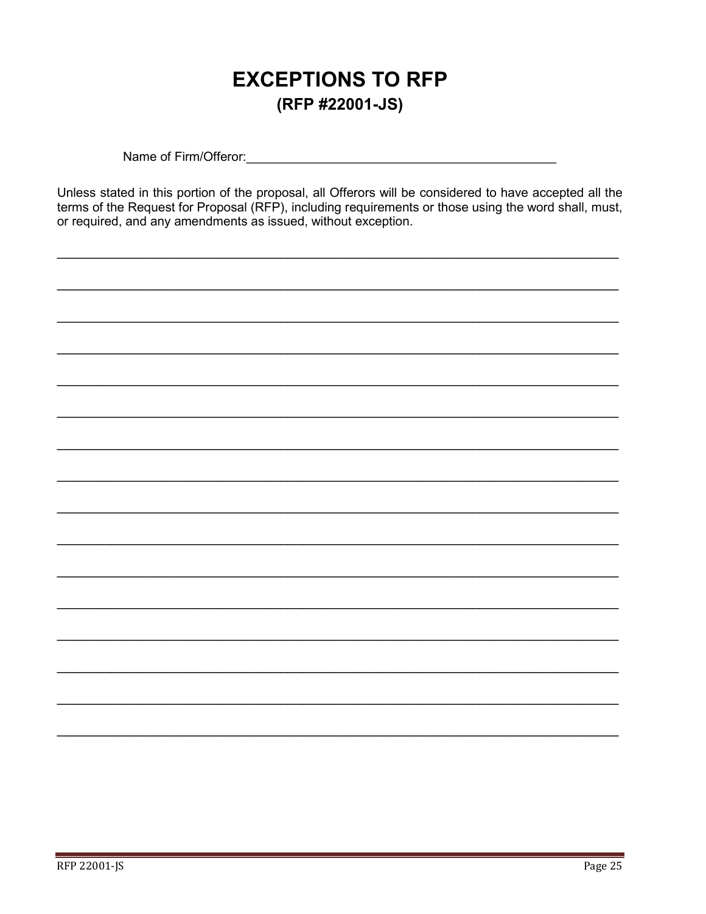## **EXCEPTIONS TO RFP** (RFP #22001-JS)

<span id="page-24-0"></span>Name of Firm/Offeror: Name of Firm/Offeror:

Unless stated in this portion of the proposal, all Offerors will be considered to have accepted all the terms of the Request for Proposal (RFP), including requirements or those using the word shall, must, or required, and any amendments as issued, without exception.

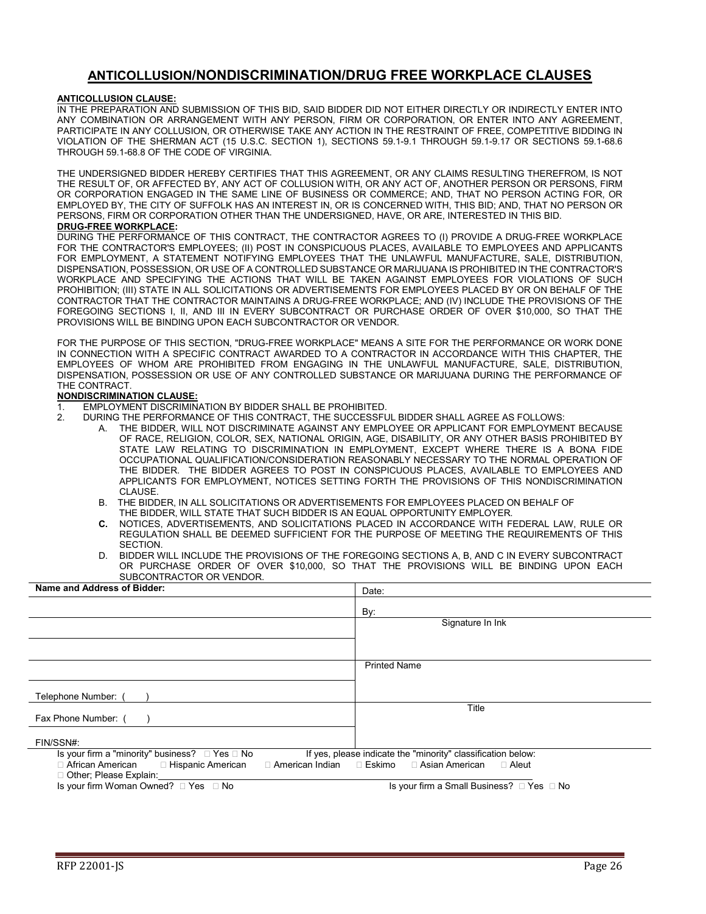#### **ANTICOLLUSION/NONDISCRIMINATION/DRUG FREE WORKPLACE CLAUSES**

#### <span id="page-25-0"></span>**ANTICOLLUSION CLAUSE:**

IN THE PREPARATION AND SUBMISSION OF THIS BID, SAID BIDDER DID NOT EITHER DIRECTLY OR INDIRECTLY ENTER INTO ANY COMBINATION OR ARRANGEMENT WITH ANY PERSON, FIRM OR CORPORATION, OR ENTER INTO ANY AGREEMENT, PARTICIPATE IN ANY COLLUSION, OR OTHERWISE TAKE ANY ACTION IN THE RESTRAINT OF FREE, COMPETITIVE BIDDING IN VIOLATION OF THE SHERMAN ACT (15 U.S.C. SECTION 1), SECTIONS 59.1-9.1 THROUGH 59.1-9.17 OR SECTIONS 59.1-68.6 THROUGH 59.1-68.8 OF THE CODE OF VIRGINIA.

THE UNDERSIGNED BIDDER HEREBY CERTIFIES THAT THIS AGREEMENT, OR ANY CLAIMS RESULTING THEREFROM, IS NOT THE RESULT OF, OR AFFECTED BY, ANY ACT OF COLLUSION WITH, OR ANY ACT OF, ANOTHER PERSON OR PERSONS, FIRM OR CORPORATION ENGAGED IN THE SAME LINE OF BUSINESS OR COMMERCE; AND, THAT NO PERSON ACTING FOR, OR EMPLOYED BY, THE CITY OF SUFFOLK HAS AN INTEREST IN, OR IS CONCERNED WITH, THIS BID; AND, THAT NO PERSON OR PERSONS, FIRM OR CORPORATION OTHER THAN THE UNDERSIGNED, HAVE, OR ARE, INTERESTED IN THIS BID. **DRUG-FREE WORKPLACE:**

DURING THE PERFORMANCE OF THIS CONTRACT, THE CONTRACTOR AGREES TO (I) PROVIDE A DRUG-FREE WORKPLACE FOR THE CONTRACTOR'S EMPLOYEES; (II) POST IN CONSPICUOUS PLACES, AVAILABLE TO EMPLOYEES AND APPLICANTS FOR EMPLOYMENT, A STATEMENT NOTIFYING EMPLOYEES THAT THE UNLAWFUL MANUFACTURE, SALE, DISTRIBUTION, DISPENSATION, POSSESSION, OR USE OF A CONTROLLED SUBSTANCE OR MARIJUANA IS PROHIBITED IN THE CONTRACTOR'S WORKPLACE AND SPECIFYING THE ACTIONS THAT WILL BE TAKEN AGAINST EMPLOYEES FOR VIOLATIONS OF SUCH PROHIBITION; (III) STATE IN ALL SOLICITATIONS OR ADVERTISEMENTS FOR EMPLOYEES PLACED BY OR ON BEHALF OF THE CONTRACTOR THAT THE CONTRACTOR MAINTAINS A DRUG-FREE WORKPLACE; AND (IV) INCLUDE THE PROVISIONS OF THE FOREGOING SECTIONS I, II, AND III IN EVERY SUBCONTRACT OR PURCHASE ORDER OF OVER \$10,000, SO THAT THE PROVISIONS WILL BE BINDING UPON EACH SUBCONTRACTOR OR VENDOR.

FOR THE PURPOSE OF THIS SECTION, "DRUG-FREE WORKPLACE" MEANS A SITE FOR THE PERFORMANCE OR WORK DONE IN CONNECTION WITH A SPECIFIC CONTRACT AWARDED TO A CONTRACTOR IN ACCORDANCE WITH THIS CHAPTER, THE EMPLOYEES OF WHOM ARE PROHIBITED FROM ENGAGING IN THE UNLAWFUL MANUFACTURE, SALE, DISTRIBUTION, DISPENSATION, POSSESSION OR USE OF ANY CONTROLLED SUBSTANCE OR MARIJUANA DURING THE PERFORMANCE OF THE CONTRACT.

#### **NONDISCRIMINATION CLAUSE:**

- 1. EMPLOYMENT DISCRIMINATION BY BIDDER SHALL BE PROHIBITED.<br>2. DURING THE PERFORMANCE OF THIS CONTRACT. THE SUCCESSEL
	- 2. DURING THE PERFORMANCE OF THIS CONTRACT, THE SUCCESSFUL BIDDER SHALL AGREE AS FOLLOWS:
		- A. THE BIDDER, WILL NOT DISCRIMINATE AGAINST ANY EMPLOYEE OR APPLICANT FOR EMPLOYMENT BECAUSE OF RACE, RELIGION, COLOR, SEX, NATIONAL ORIGIN, AGE, DISABILITY, OR ANY OTHER BASIS PROHIBITED BY STATE LAW RELATING TO DISCRIMINATION IN EMPLOYMENT, EXCEPT WHERE THERE IS A BONA FIDE OCCUPATIONAL QUALIFICATION/CONSIDERATION REASONABLY NECESSARY TO THE NORMAL OPERATION OF THE BIDDER. THE BIDDER AGREES TO POST IN CONSPICUOUS PLACES, AVAILABLE TO EMPLOYEES AND APPLICANTS FOR EMPLOYMENT, NOTICES SETTING FORTH THE PROVISIONS OF THIS NONDISCRIMINATION CLAUSE.
		- B. THE BIDDER, IN ALL SOLICITATIONS OR ADVERTISEMENTS FOR EMPLOYEES PLACED ON BEHALF OF THE BIDDER, WILL STATE THAT SUCH BIDDER IS AN EQUAL OPPORTUNITY EMPLOYER.
		- **C.** NOTICES, ADVERTISEMENTS, AND SOLICITATIONS PLACED IN ACCORDANCE WITH FEDERAL LAW, RULE OR REGULATION SHALL BE DEEMED SUFFICIENT FOR THE PURPOSE OF MEETING THE REQUIREMENTS OF THIS SECTION.
		- D. BIDDER WILL INCLUDE THE PROVISIONS OF THE FOREGOING SECTIONS A, B, AND C IN EVERY SUBCONTRACT OR PURCHASE ORDER OF OVER \$10,000, SO THAT THE PROVISIONS WILL BE BINDING UPON EACH SUBCONTRACTOR OR VENDOR.

| Name and Address of Bidder:                                                                                              | Date:                                     |
|--------------------------------------------------------------------------------------------------------------------------|-------------------------------------------|
|                                                                                                                          | By:                                       |
|                                                                                                                          | Signature In Ink                          |
|                                                                                                                          |                                           |
|                                                                                                                          |                                           |
|                                                                                                                          | <b>Printed Name</b>                       |
|                                                                                                                          |                                           |
| Telephone Number:                                                                                                        |                                           |
| Fax Phone Number: (                                                                                                      | Title                                     |
|                                                                                                                          |                                           |
| FIN/SSN#:                                                                                                                |                                           |
| Is your firm a "minority" business? $\Box$ Yes $\Box$ No<br>If yes, please indicate the "minority" classification below: |                                           |
| □ American Indian   □ Eskimo<br>□ Asian American<br>□ African American<br>□ Hispanic American<br>$\Box$ Aleut            |                                           |
| □ Other; Please Explain:                                                                                                 |                                           |
| Is your firm Woman Owned? $\Box$ Yes $\Box$ No                                                                           | Is your firm a Small Business? □ Yes □ No |